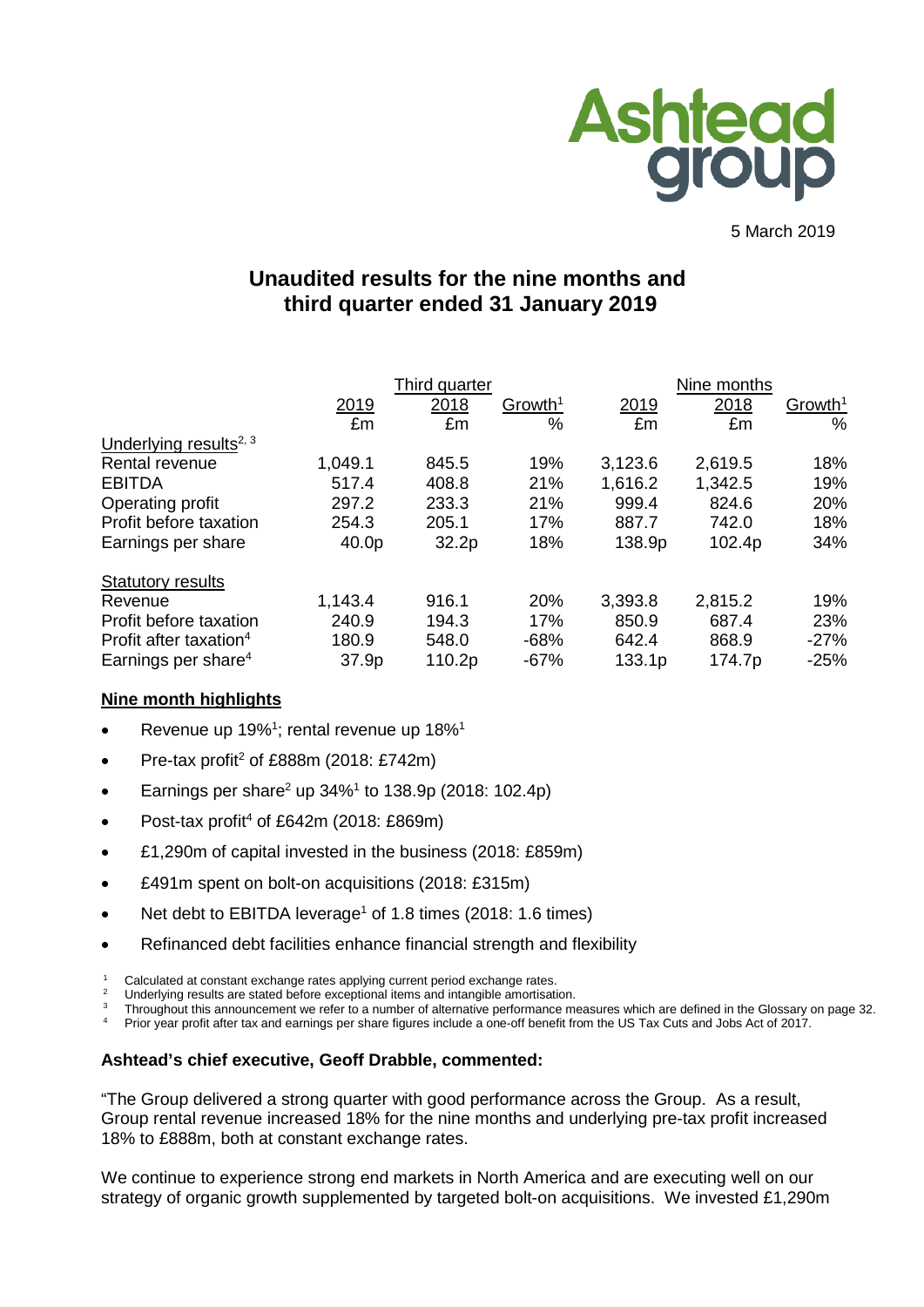

5 March 2019

# **Unaudited results for the nine months and third quarter ended 31 January 2019**

|                                    |         | Third quarter |                     |         |         |                     |
|------------------------------------|---------|---------------|---------------------|---------|---------|---------------------|
|                                    | 2019    | 2018          | Growth <sup>1</sup> | 2019    | 2018    | Growth <sup>1</sup> |
|                                    | £m      | £m            | $\frac{0}{0}$       | £m      | £m      | %                   |
| Underlying results <sup>2, 3</sup> |         |               |                     |         |         |                     |
| Rental revenue                     | 1,049.1 | 845.5         | 19%                 | 3,123.6 | 2,619.5 | 18%                 |
| <b>EBITDA</b>                      | 517.4   | 408.8         | 21%                 | 1,616.2 | 1,342.5 | 19%                 |
| Operating profit                   | 297.2   | 233.3         | 21%                 | 999.4   | 824.6   | 20%                 |
| Profit before taxation             | 254.3   | 205.1         | 17%                 | 887.7   | 742.0   | 18%                 |
| Earnings per share                 | 40.0p   | 32.2p         | 18%                 | 138.9p  | 102.4p  | 34%                 |
| <b>Statutory results</b>           |         |               |                     |         |         |                     |
| Revenue                            | 1,143.4 | 916.1         | 20%                 | 3,393.8 | 2,815.2 | 19%                 |
| Profit before taxation             | 240.9   | 194.3         | 17%                 | 850.9   | 687.4   | 23%                 |
| Profit after taxation <sup>4</sup> | 180.9   | 548.0         | $-68%$              | 642.4   | 868.9   | $-27%$              |
| Earnings per share <sup>4</sup>    | 37.9p   | 110.2p        | $-67%$              | 133.1p  | 174.7p  | $-25%$              |

### **Nine month highlights**

- Revenue up 19%<sup>1</sup>; rental revenue up 18%<sup>1</sup>
- Pre-tax profit<sup>2</sup> of £888m (2018: £742m)
- Earnings per share<sup>2</sup> up  $34\%$ <sup>1</sup> to 138.9p (2018: 102.4p)
- Post-tax profit<sup>4</sup> of £642m (2018: £869m)
- £1,290m of capital invested in the business (2018: £859m)
- £491m spent on bolt-on acquisitions (2018: £315m)
- Net debt to EBITDA leverage<sup>1</sup> of 1.8 times (2018: 1.6 times)
- Refinanced debt facilities enhance financial strength and flexibility
- <sup>1</sup> Calculated at constant exchange rates applying current period exchange rates.

Underlying results are stated before exceptional items and intangible amortisation.

<sup>3</sup> Throughout this announcement we refer to a number of alternative performance measures which are defined in the Glossary on page 32.

<sup>4</sup> Prior year profit after tax and earnings per share figures include a one-off benefit from the US Tax Cuts and Jobs Act of 2017.

### **Ashtead's chief executive, Geoff Drabble, commented:**

"The Group delivered a strong quarter with good performance across the Group. As a result, Group rental revenue increased 18% for the nine months and underlying pre-tax profit increased 18% to £888m, both at constant exchange rates.

We continue to experience strong end markets in North America and are executing well on our strategy of organic growth supplemented by targeted bolt-on acquisitions. We invested £1,290m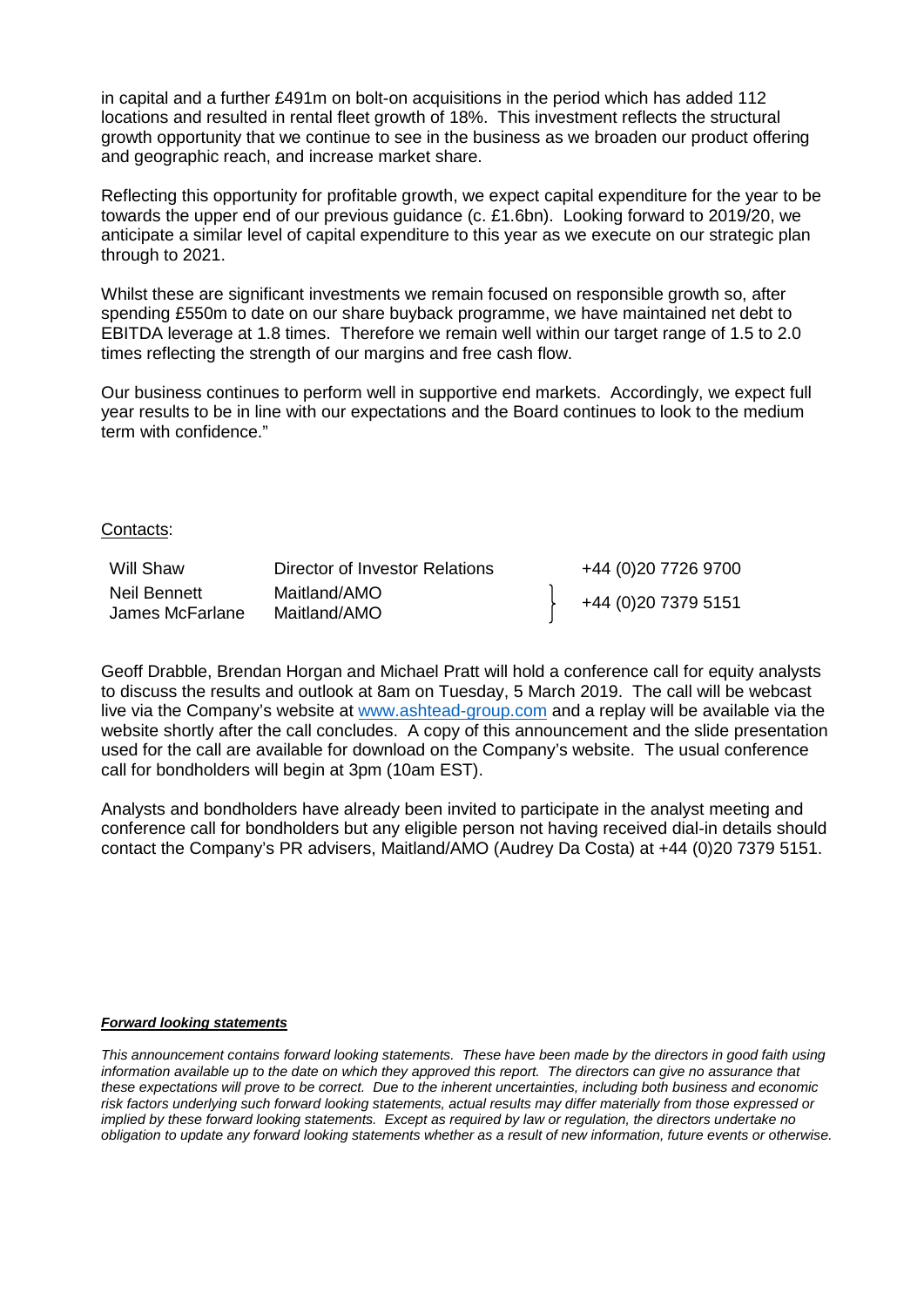in capital and a further £491m on bolt-on acquisitions in the period which has added 112 locations and resulted in rental fleet growth of 18%. This investment reflects the structural growth opportunity that we continue to see in the business as we broaden our product offering and geographic reach, and increase market share.

Reflecting this opportunity for profitable growth, we expect capital expenditure for the year to be towards the upper end of our previous guidance (c. £1.6bn). Looking forward to 2019/20, we anticipate a similar level of capital expenditure to this year as we execute on our strategic plan through to 2021.

Whilst these are significant investments we remain focused on responsible growth so, after spending £550m to date on our share buyback programme, we have maintained net debt to EBITDA leverage at 1.8 times. Therefore we remain well within our target range of 1.5 to 2.0 times reflecting the strength of our margins and free cash flow.

Our business continues to perform well in supportive end markets. Accordingly, we expect full year results to be in line with our expectations and the Board continues to look to the medium term with confidence."

#### Contacts:

| Will Shaw                       | Director of Investor Relations | +44 (0)20 7726 9700 |
|---------------------------------|--------------------------------|---------------------|
| Neil Bennett<br>James McFarlane | Maitland/AMO<br>Maitland/AMO   | +44 (0)20 7379 5151 |

Geoff Drabble, Brendan Horgan and Michael Pratt will hold a conference call for equity analysts to discuss the results and outlook at 8am on Tuesday, 5 March 2019. The call will be webcast live via the Company's website at [www.ashtead-group.com](http://www.ashtead-group.com/) and a replay will be available via the website shortly after the call concludes. A copy of this announcement and the slide presentation used for the call are available for download on the Company's website. The usual conference call for bondholders will begin at 3pm (10am EST).

Analysts and bondholders have already been invited to participate in the analyst meeting and conference call for bondholders but any eligible person not having received dial-in details should contact the Company's PR advisers, Maitland/AMO (Audrey Da Costa) at +44 (0)20 7379 5151.

#### *Forward looking statements*

*This announcement contains forward looking statements. These have been made by the directors in good faith using information available up to the date on which they approved this report. The directors can give no assurance that these expectations will prove to be correct. Due to the inherent uncertainties, including both business and economic risk factors underlying such forward looking statements, actual results may differ materially from those expressed or implied by these forward looking statements. Except as required by law or regulation, the directors undertake no obligation to update any forward looking statements whether as a result of new information, future events or otherwise.*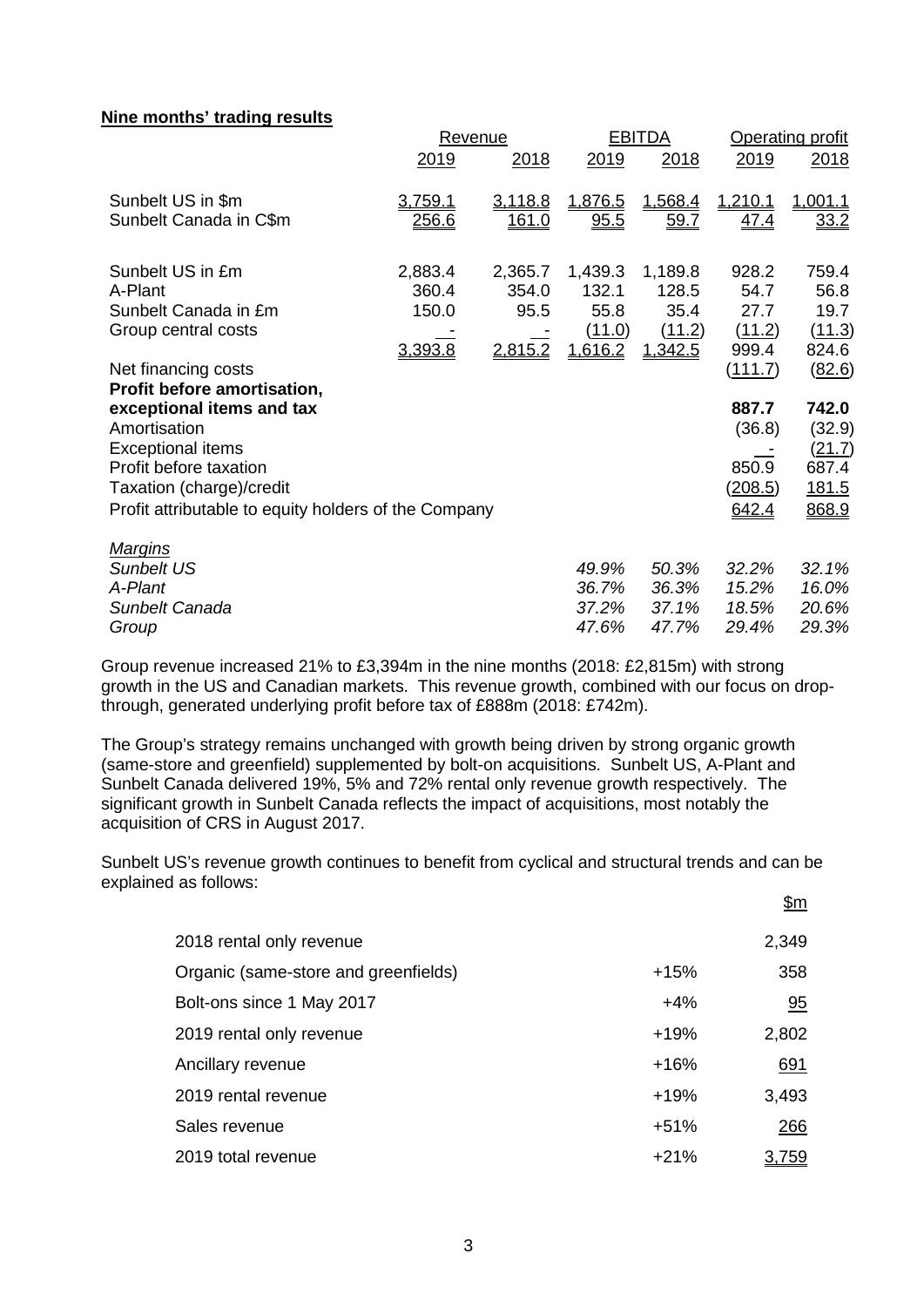### **Nine months' trading results**

|                                                      |              | Revenue       |             | <b>EBITDA</b> | <b>Operating profit</b> |              |  |
|------------------------------------------------------|--------------|---------------|-------------|---------------|-------------------------|--------------|--|
|                                                      | 2019         | 2018          | 2019        | 2018          | 2019                    | 2018         |  |
| Sunbelt US in \$m                                    | 3,759.1      | 3,118.8       | 1,876.5     | 1,568.4       | 1,210.1                 | 1,001.1      |  |
| Sunbelt Canada in C\$m                               | <u>256.6</u> | <u> 161.0</u> | <u>95.5</u> | <u>59.7</u>   | <u>47.4</u>             | 33.2         |  |
| Sunbelt US in £m                                     | 2,883.4      | 2,365.7       | 1,439.3     | 1,189.8       | 928.2                   | 759.4        |  |
| A-Plant                                              | 360.4        | 354.0         | 132.1       | 128.5         | 54.7                    | 56.8         |  |
| Sunbelt Canada in £m                                 | 150.0        | 95.5          | 55.8        | 35.4          | 27.7                    | 19.7         |  |
| Group central costs                                  |              |               | (11.0)      | (11.2)        | (11.2)                  | (11.3)       |  |
|                                                      | 3,393.8      | 2,815.2       | 1,616.2     | 1,342.5       | 999.4                   | 824.6        |  |
| Net financing costs                                  |              |               |             |               | <u>(111.7)</u>          | (82.6)       |  |
| Profit before amortisation,                          |              |               |             |               |                         |              |  |
| exceptional items and tax                            |              |               |             |               | 887.7                   | 742.0        |  |
| Amortisation                                         |              |               |             |               | (36.8)                  | (32.9)       |  |
| <b>Exceptional items</b>                             |              |               |             |               |                         | (21.7)       |  |
| Profit before taxation                               |              |               |             |               | 850.9                   | 687.4        |  |
| Taxation (charge)/credit                             |              |               |             |               | <u>(208.5)</u>          | <u>181.5</u> |  |
| Profit attributable to equity holders of the Company |              |               |             |               | 642.4                   | 868.9        |  |
| <u>Margins</u>                                       |              |               |             |               |                         |              |  |
| <b>Sunbelt US</b>                                    |              |               | 49.9%       | 50.3%         | 32.2%                   | 32.1%        |  |
| A-Plant                                              |              |               | 36.7%       | 36.3%         | 15.2%                   | 16.0%        |  |
| Sunbelt Canada                                       |              |               | 37.2%       | 37.1%         | 18.5%                   | 20.6%        |  |
| Group                                                |              |               | 47.6%       | 47.7%         | 29.4%                   | 29.3%        |  |

Group revenue increased 21% to £3,394m in the nine months (2018: £2,815m) with strong growth in the US and Canadian markets. This revenue growth, combined with our focus on dropthrough, generated underlying profit before tax of £888m (2018: £742m).

The Group's strategy remains unchanged with growth being driven by strong organic growth (same-store and greenfield) supplemented by bolt-on acquisitions. Sunbelt US, A-Plant and Sunbelt Canada delivered 19%, 5% and 72% rental only revenue growth respectively. The significant growth in Sunbelt Canada reflects the impact of acquisitions, most notably the acquisition of CRS in August 2017.

Sunbelt US's revenue growth continues to benefit from cyclical and structural trends and can be explained as follows:

| 2018 rental only revenue             |        | 2,349      |
|--------------------------------------|--------|------------|
| Organic (same-store and greenfields) | $+15%$ | 358        |
| Bolt-ons since 1 May 2017            | $+4%$  | 95         |
| 2019 rental only revenue             | $+19%$ | 2,802      |
| Ancillary revenue                    | $+16%$ | 691        |
| 2019 rental revenue                  | $+19%$ | 3,493      |
| Sales revenue                        | $+51%$ | 266        |
| 2019 total revenue                   | $+21%$ | <u>759</u> |

 $$m$$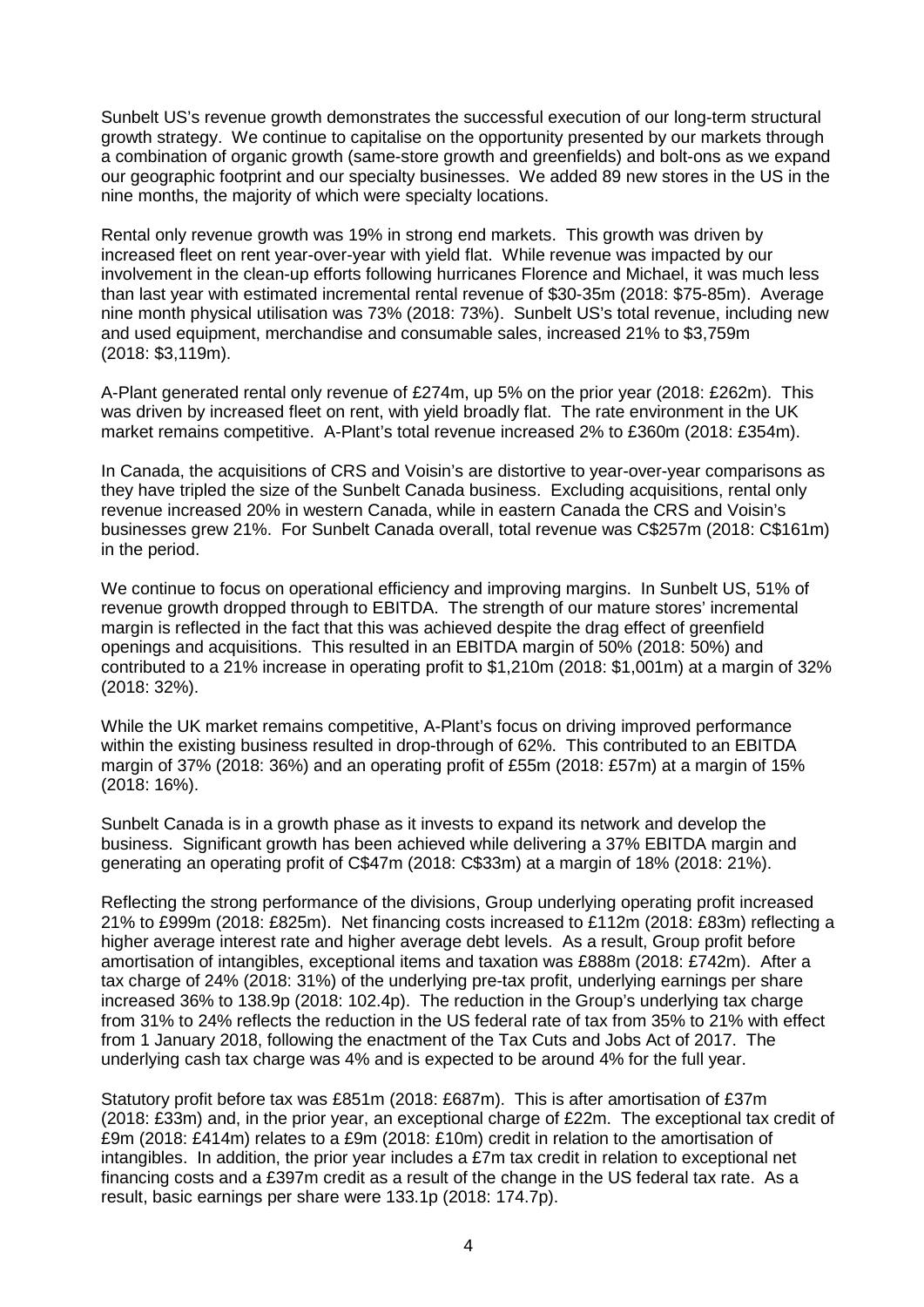Sunbelt US's revenue growth demonstrates the successful execution of our long-term structural growth strategy. We continue to capitalise on the opportunity presented by our markets through a combination of organic growth (same-store growth and greenfields) and bolt-ons as we expand our geographic footprint and our specialty businesses. We added 89 new stores in the US in the nine months, the majority of which were specialty locations.

Rental only revenue growth was 19% in strong end markets. This growth was driven by increased fleet on rent year-over-year with yield flat. While revenue was impacted by our involvement in the clean-up efforts following hurricanes Florence and Michael, it was much less than last year with estimated incremental rental revenue of \$30-35m (2018: \$75-85m). Average nine month physical utilisation was 73% (2018: 73%). Sunbelt US's total revenue, including new and used equipment, merchandise and consumable sales, increased 21% to \$3,759m (2018: \$3,119m).

A-Plant generated rental only revenue of £274m, up 5% on the prior year (2018: £262m). This was driven by increased fleet on rent, with yield broadly flat. The rate environment in the UK market remains competitive. A-Plant's total revenue increased 2% to £360m (2018: £354m).

In Canada, the acquisitions of CRS and Voisin's are distortive to year-over-year comparisons as they have tripled the size of the Sunbelt Canada business. Excluding acquisitions, rental only revenue increased 20% in western Canada, while in eastern Canada the CRS and Voisin's businesses grew 21%. For Sunbelt Canada overall, total revenue was C\$257m (2018: C\$161m) in the period.

We continue to focus on operational efficiency and improving margins. In Sunbelt US, 51% of revenue growth dropped through to EBITDA. The strength of our mature stores' incremental margin is reflected in the fact that this was achieved despite the drag effect of greenfield openings and acquisitions. This resulted in an EBITDA margin of 50% (2018: 50%) and contributed to a 21% increase in operating profit to \$1,210m (2018: \$1,001m) at a margin of 32% (2018: 32%).

While the UK market remains competitive, A-Plant's focus on driving improved performance within the existing business resulted in drop-through of 62%. This contributed to an EBITDA margin of 37% (2018: 36%) and an operating profit of £55m (2018: £57m) at a margin of 15% (2018: 16%).

Sunbelt Canada is in a growth phase as it invests to expand its network and develop the business. Significant growth has been achieved while delivering a 37% EBITDA margin and generating an operating profit of C\$47m (2018: C\$33m) at a margin of 18% (2018: 21%).

Reflecting the strong performance of the divisions, Group underlying operating profit increased 21% to £999m (2018: £825m). Net financing costs increased to £112m (2018: £83m) reflecting a higher average interest rate and higher average debt levels. As a result, Group profit before amortisation of intangibles, exceptional items and taxation was £888m (2018: £742m). After a tax charge of 24% (2018: 31%) of the underlying pre-tax profit, underlying earnings per share increased 36% to 138.9p (2018: 102.4p). The reduction in the Group's underlying tax charge from 31% to 24% reflects the reduction in the US federal rate of tax from 35% to 21% with effect from 1 January 2018, following the enactment of the Tax Cuts and Jobs Act of 2017. The underlying cash tax charge was 4% and is expected to be around 4% for the full year.

Statutory profit before tax was £851m (2018: £687m). This is after amortisation of £37m (2018: £33m) and, in the prior year, an exceptional charge of £22m. The exceptional tax credit of £9m (2018: £414m) relates to a £9m (2018: £10m) credit in relation to the amortisation of intangibles. In addition, the prior year includes a £7m tax credit in relation to exceptional net financing costs and a £397m credit as a result of the change in the US federal tax rate. As a result, basic earnings per share were 133.1p (2018: 174.7p).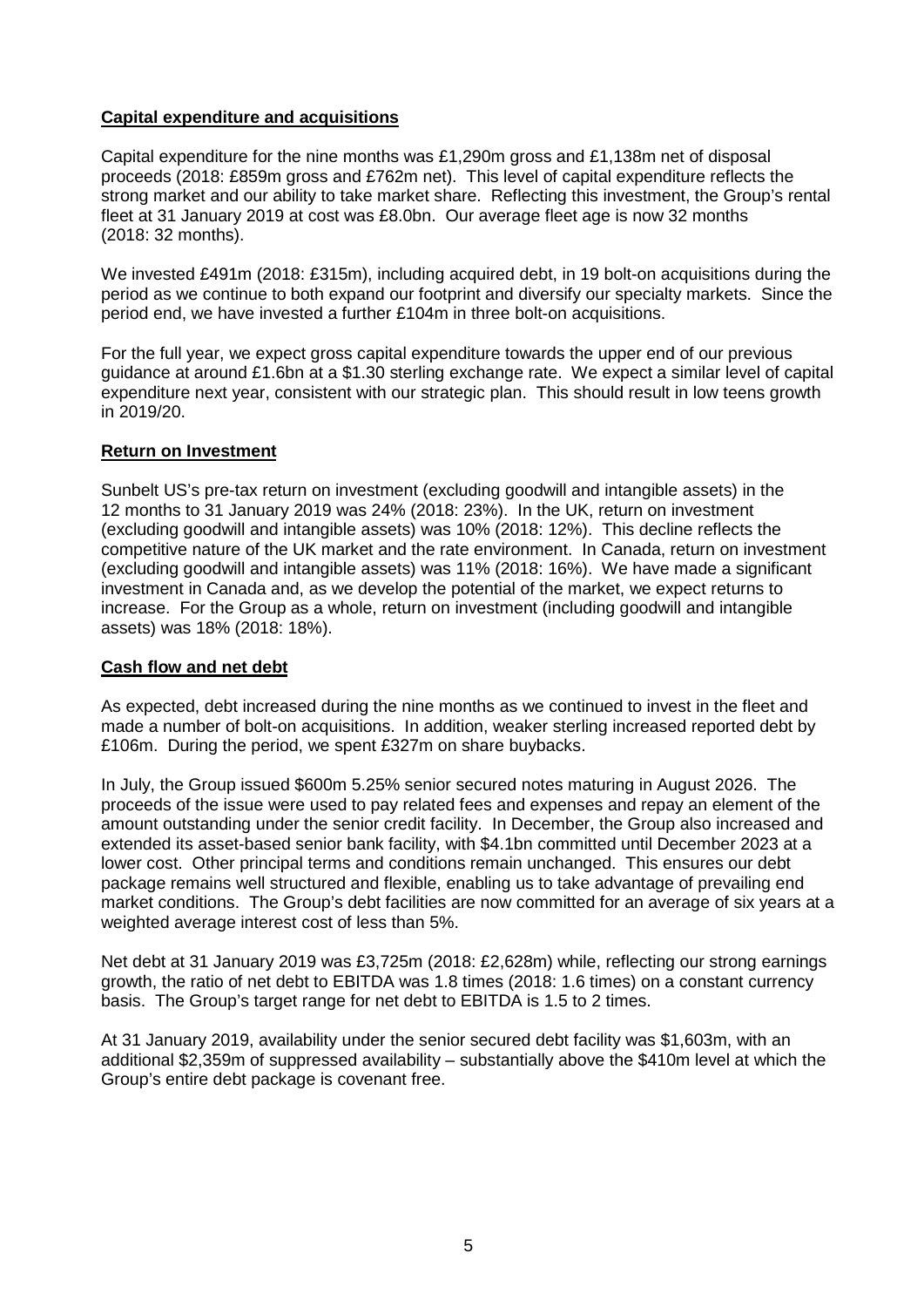### **Capital expenditure and acquisitions**

Capital expenditure for the nine months was £1,290m gross and £1,138m net of disposal proceeds (2018: £859m gross and £762m net). This level of capital expenditure reflects the strong market and our ability to take market share. Reflecting this investment, the Group's rental fleet at 31 January 2019 at cost was £8.0bn. Our average fleet age is now 32 months (2018: 32 months).

We invested £491m (2018: £315m), including acquired debt, in 19 bolt-on acquisitions during the period as we continue to both expand our footprint and diversify our specialty markets. Since the period end, we have invested a further £104m in three bolt-on acquisitions.

For the full year, we expect gross capital expenditure towards the upper end of our previous guidance at around £1.6bn at a \$1.30 sterling exchange rate. We expect a similar level of capital expenditure next year, consistent with our strategic plan. This should result in low teens growth in 2019/20.

### **Return on Investment**

Sunbelt US's pre-tax return on investment (excluding goodwill and intangible assets) in the 12 months to 31 January 2019 was 24% (2018: 23%). In the UK, return on investment (excluding goodwill and intangible assets) was 10% (2018: 12%). This decline reflects the competitive nature of the UK market and the rate environment. In Canada, return on investment (excluding goodwill and intangible assets) was 11% (2018: 16%). We have made a significant investment in Canada and, as we develop the potential of the market, we expect returns to increase. For the Group as a whole, return on investment (including goodwill and intangible assets) was 18% (2018: 18%).

### **Cash flow and net debt**

As expected, debt increased during the nine months as we continued to invest in the fleet and made a number of bolt-on acquisitions. In addition, weaker sterling increased reported debt by £106m. During the period, we spent £327m on share buybacks.

In July, the Group issued \$600m 5.25% senior secured notes maturing in August 2026. The proceeds of the issue were used to pay related fees and expenses and repay an element of the amount outstanding under the senior credit facility. In December, the Group also increased and extended its asset-based senior bank facility, with \$4.1bn committed until December 2023 at a lower cost. Other principal terms and conditions remain unchanged. This ensures our debt package remains well structured and flexible, enabling us to take advantage of prevailing end market conditions. The Group's debt facilities are now committed for an average of six years at a weighted average interest cost of less than 5%.

Net debt at 31 January 2019 was £3,725m (2018: £2,628m) while, reflecting our strong earnings growth, the ratio of net debt to EBITDA was 1.8 times (2018: 1.6 times) on a constant currency basis. The Group's target range for net debt to EBITDA is 1.5 to 2 times.

At 31 January 2019, availability under the senior secured debt facility was \$1,603m, with an additional \$2,359m of suppressed availability – substantially above the \$410m level at which the Group's entire debt package is covenant free.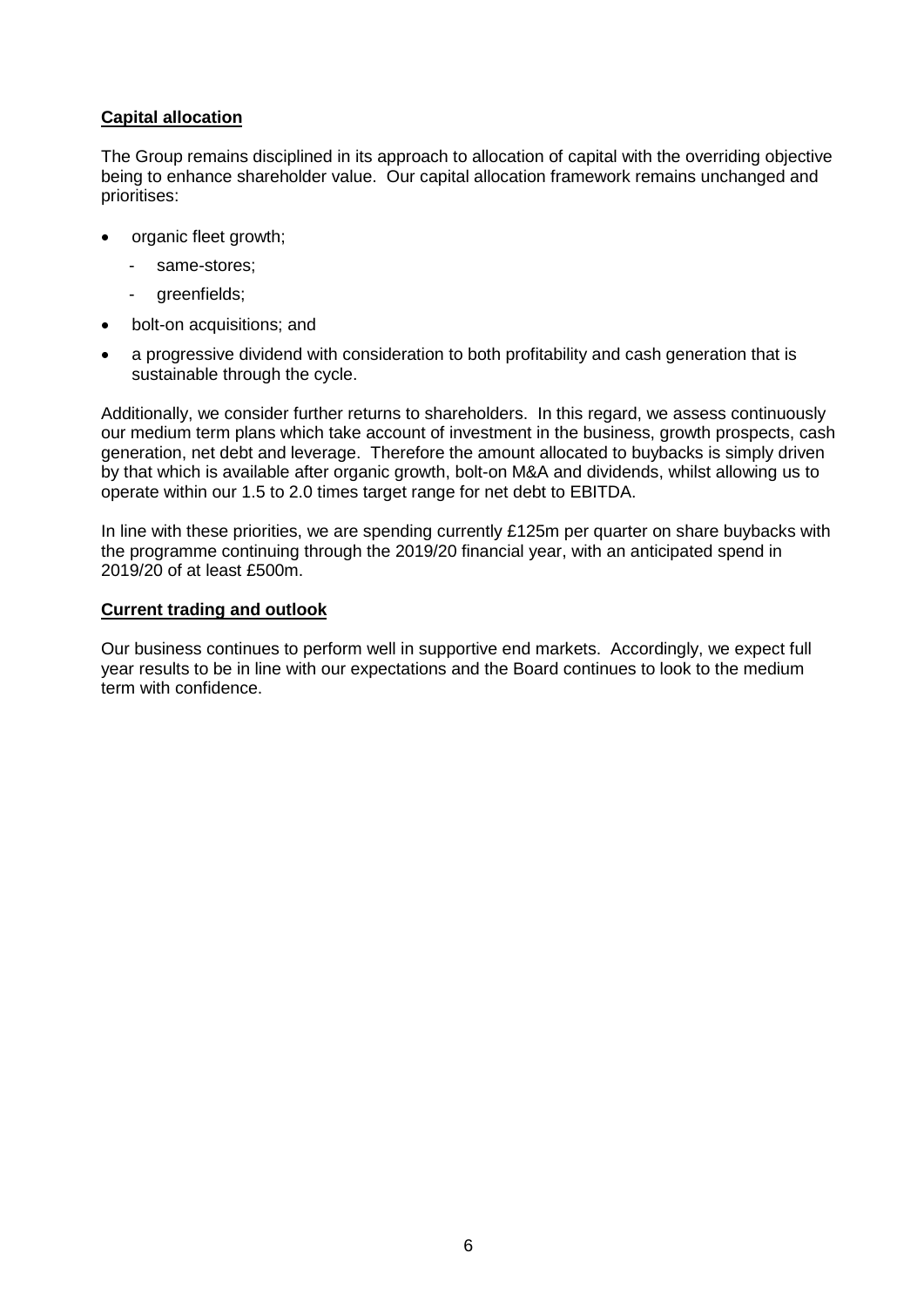# **Capital allocation**

The Group remains disciplined in its approach to allocation of capital with the overriding objective being to enhance shareholder value. Our capital allocation framework remains unchanged and prioritises:

- organic fleet growth;
	- same-stores:
	- greenfields;
- bolt-on acquisitions; and
- a progressive dividend with consideration to both profitability and cash generation that is sustainable through the cycle.

Additionally, we consider further returns to shareholders. In this regard, we assess continuously our medium term plans which take account of investment in the business, growth prospects, cash generation, net debt and leverage. Therefore the amount allocated to buybacks is simply driven by that which is available after organic growth, bolt-on M&A and dividends, whilst allowing us to operate within our 1.5 to 2.0 times target range for net debt to EBITDA.

In line with these priorities, we are spending currently  $£125m$  per quarter on share buybacks with the programme continuing through the 2019/20 financial year, with an anticipated spend in 2019/20 of at least £500m.

### **Current trading and outlook**

Our business continues to perform well in supportive end markets. Accordingly, we expect full year results to be in line with our expectations and the Board continues to look to the medium term with confidence.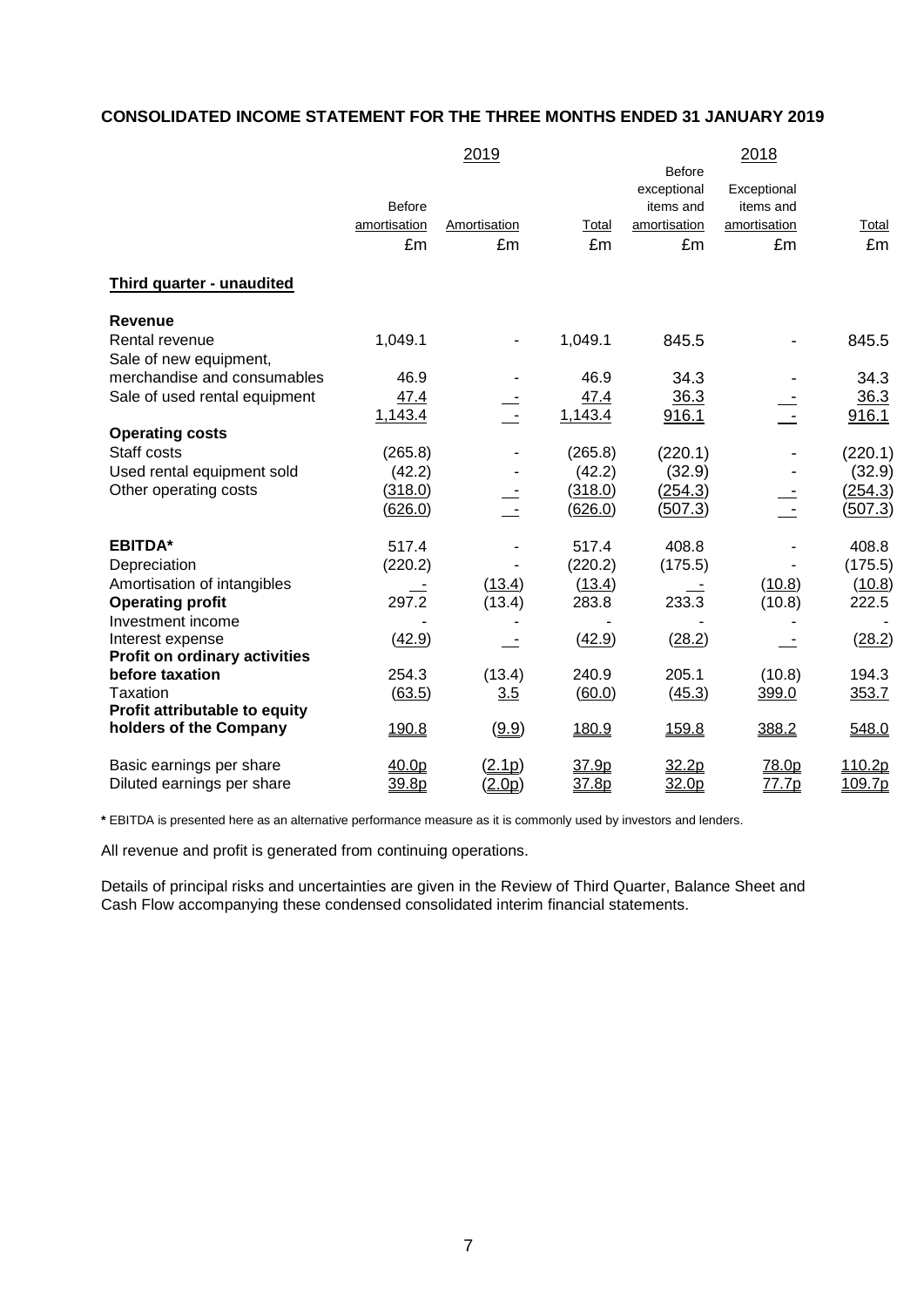# **CONSOLIDATED INCOME STATEMENT FOR THE THREE MONTHS ENDED 31 JANUARY 2019**

|                                                          |               | 2019          |         |               | 2018         |                |
|----------------------------------------------------------|---------------|---------------|---------|---------------|--------------|----------------|
|                                                          |               |               |         | <b>Before</b> |              |                |
|                                                          |               |               |         | exceptional   | Exceptional  |                |
|                                                          | <b>Before</b> |               |         | items and     | items and    |                |
|                                                          | amortisation  | Amortisation  | Total   | amortisation  | amortisation | Total          |
|                                                          | £m            | £m            | £m      | £m            | £m           | £m             |
|                                                          |               |               |         |               |              |                |
| Third quarter - unaudited                                |               |               |         |               |              |                |
| <b>Revenue</b>                                           |               |               |         |               |              |                |
| Rental revenue                                           | 1,049.1       |               | 1,049.1 | 845.5         |              | 845.5          |
| Sale of new equipment,                                   |               |               |         |               |              |                |
| merchandise and consumables                              | 46.9          |               | 46.9    | 34.3          |              | 34.3           |
| Sale of used rental equipment                            | 47.4          |               | 47.4    | 36.3          |              | 36.3           |
|                                                          | 1,143.4       | $\sim$        | 1,143.4 | 916.1         |              | 916.1          |
| <b>Operating costs</b>                                   |               |               |         |               |              |                |
| Staff costs                                              | (265.8)       |               | (265.8) | (220.1)       |              | (220.1)        |
| Used rental equipment sold                               | (42.2)        |               | (42.2)  | (32.9)        |              | (32.9)         |
| Other operating costs                                    | (318.0)       |               | (318.0) | (254.3)       |              | (254.3)        |
|                                                          | (626.0)       |               | (626.0) | (507.3)       |              | <u>(507.3)</u> |
|                                                          |               |               |         |               |              |                |
| <b>EBITDA*</b>                                           | 517.4         |               | 517.4   | 408.8         |              | 408.8          |
| Depreciation                                             | (220.2)       |               | (220.2) | (175.5)       |              | (175.5)        |
| Amortisation of intangibles                              |               | (13.4)        | (13.4)  |               | (10.8)       | (10.8)         |
| <b>Operating profit</b>                                  | 297.2         | (13.4)        | 283.8   | 233.3         | (10.8)       | 222.5          |
| Investment income                                        |               |               |         |               |              |                |
| Interest expense<br><b>Profit on ordinary activities</b> | (42.9)        |               | (42.9)  | (28.2)        |              | (28.2)         |
| before taxation                                          | 254.3         | (13.4)        | 240.9   | 205.1         | (10.8)       | 194.3          |
| <b>Taxation</b>                                          | (63.5)        | 3.5           | (60.0)  | (45.3)        | 399.0        | 353.7          |
| Profit attributable to equity                            |               |               |         |               |              |                |
| holders of the Company                                   | 190.8         | (9.9)         | 180.9   | 159.8         | 388.2        | 548.0          |
|                                                          |               |               |         |               |              |                |
| Basic earnings per share                                 | 40.0p         | (2.1p)        | 37.9p   | 32.2p         | 78.0p        | 110.2p         |
| Diluted earnings per share                               | 39.8p         | <u>(2.0p)</u> | 37.8p   | 32.0p         | 77.7p        | 109.7p         |

**\*** EBITDA is presented here as an alternative performance measure as it is commonly used by investors and lenders.

All revenue and profit is generated from continuing operations.

Details of principal risks and uncertainties are given in the Review of Third Quarter, Balance Sheet and Cash Flow accompanying these condensed consolidated interim financial statements.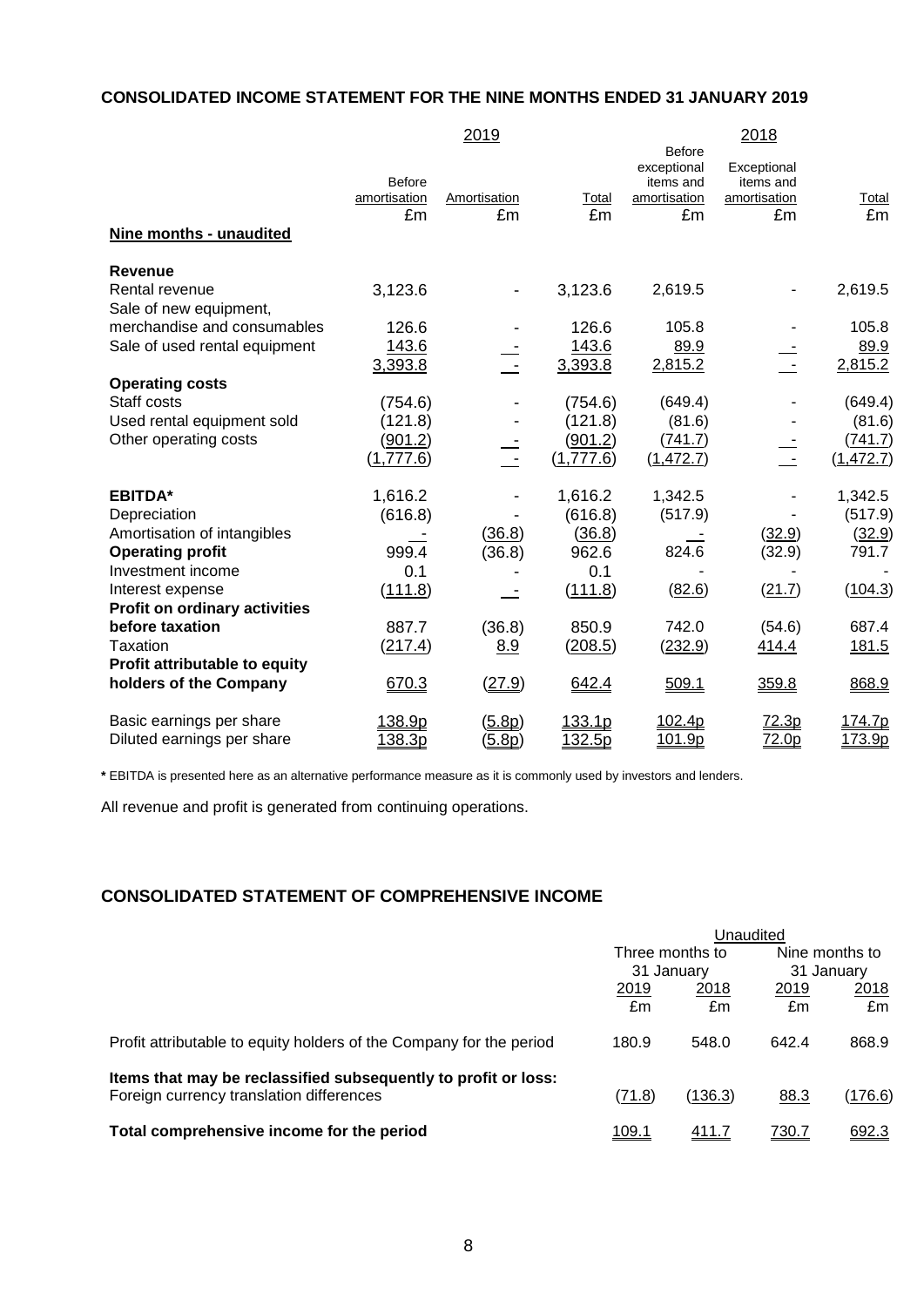### **CONSOLIDATED INCOME STATEMENT FOR THE NINE MONTHS ENDED 31 JANUARY 2019**

|                                      |                                     | 2019                      |                      |                                                          | 2018                                           |                       |
|--------------------------------------|-------------------------------------|---------------------------|----------------------|----------------------------------------------------------|------------------------------------------------|-----------------------|
|                                      | <b>Before</b><br>amortisation<br>£m | <b>Amortisation</b><br>£m | Total<br>£m          | Before<br>exceptional<br>items and<br>amortisation<br>£m | Exceptional<br>items and<br>amortisation<br>£m | <u>Total</u><br>£m    |
| Nine months - unaudited              |                                     |                           |                      |                                                          |                                                |                       |
| <b>Revenue</b>                       |                                     |                           |                      |                                                          |                                                |                       |
| Rental revenue                       | 3,123.6                             | $\blacksquare$            | 3,123.6              | 2,619.5                                                  | $\blacksquare$                                 | 2,619.5               |
| Sale of new equipment,               |                                     |                           |                      |                                                          |                                                |                       |
| merchandise and consumables          | 126.6                               |                           | 126.6                | 105.8                                                    |                                                | 105.8                 |
| Sale of used rental equipment        | 143.6                               |                           | 143.6                | 89.9                                                     |                                                | 89.9                  |
|                                      | 3,393.8                             | $\sim$ $-$                | 3,393.8              | 2,815.2                                                  | $\sim$                                         | 2,815.2               |
| <b>Operating costs</b>               |                                     |                           |                      |                                                          |                                                |                       |
| Staff costs                          | (754.6)                             |                           | (754.6)              | (649.4)                                                  |                                                | (649.4)               |
| Used rental equipment sold           | (121.8)                             |                           | (121.8)              | (81.6)                                                   |                                                | (81.6)                |
| Other operating costs                | (901.2)<br>(1,777.6)                |                           | (901.2)<br>(1,777.6) | (741.7)<br>(1, 472.7)                                    | $\sim$                                         | (741.7)<br>(1, 472.7) |
|                                      |                                     |                           |                      |                                                          |                                                |                       |
| <b>EBITDA*</b>                       | 1,616.2                             |                           | 1,616.2              | 1,342.5                                                  |                                                | 1,342.5               |
| Depreciation                         | (616.8)                             |                           | (616.8)              | (517.9)                                                  |                                                | (517.9)               |
| Amortisation of intangibles          |                                     | (36.8)                    | (36.8)               |                                                          | (32.9)                                         | (32.9)                |
| <b>Operating profit</b>              | 999.4                               | (36.8)                    | 962.6                | 824.6                                                    | (32.9)                                         | 791.7                 |
| Investment income                    | 0.1                                 |                           | 0.1                  |                                                          |                                                |                       |
| Interest expense                     | (111.8)                             |                           | (111.8)              | (82.6)                                                   | (21.7)                                         | (104.3)               |
| <b>Profit on ordinary activities</b> |                                     |                           |                      |                                                          |                                                |                       |
| before taxation                      | 887.7                               | (36.8)                    | 850.9                | 742.0                                                    | (54.6)                                         | 687.4                 |
| Taxation                             | (217.4)                             | 8.9                       | (208.5)              | (232.9)                                                  | 414.4                                          | 181.5                 |
| Profit attributable to equity        |                                     |                           |                      |                                                          |                                                |                       |
| holders of the Company               | 670.3                               | (27.9)                    | 642.4                | 509.1                                                    | 359.8                                          | 868.9                 |
| Basic earnings per share             | 138.9p                              | (5.8p)                    | 133.1p               | 102.4p                                                   | 72.3p                                          | 174.7p                |
| Diluted earnings per share           | 138.3p                              | (5.8p)                    | 132.5p               | 101.9p                                                   | 72.0p                                          | 173.9p                |

**\*** EBITDA is presented here as an alternative performance measure as it is commonly used by investors and lenders.

All revenue and profit is generated from continuing operations.

# **CONSOLIDATED STATEMENT OF COMPREHENSIVE INCOME**

|                                                                     | Unaudited       |         |              |                |
|---------------------------------------------------------------------|-----------------|---------|--------------|----------------|
|                                                                     | Three months to |         |              | Nine months to |
|                                                                     | 31 January      |         | 31 January   |                |
|                                                                     | 2019            | 2018    | 2019         | 2018           |
|                                                                     | £m              | £m      | £m           | £m             |
| Profit attributable to equity holders of the Company for the period | 180.9           | 548.0   | 642.4        | 868.9          |
| Items that may be reclassified subsequently to profit or loss:      |                 |         |              |                |
| Foreign currency translation differences                            | (71.8)          | (136.3) | 88.3         | (176.6)        |
| Total comprehensive income for the period                           | <u>109.1</u>    | 411.7   | <u>730.7</u> | 692.3          |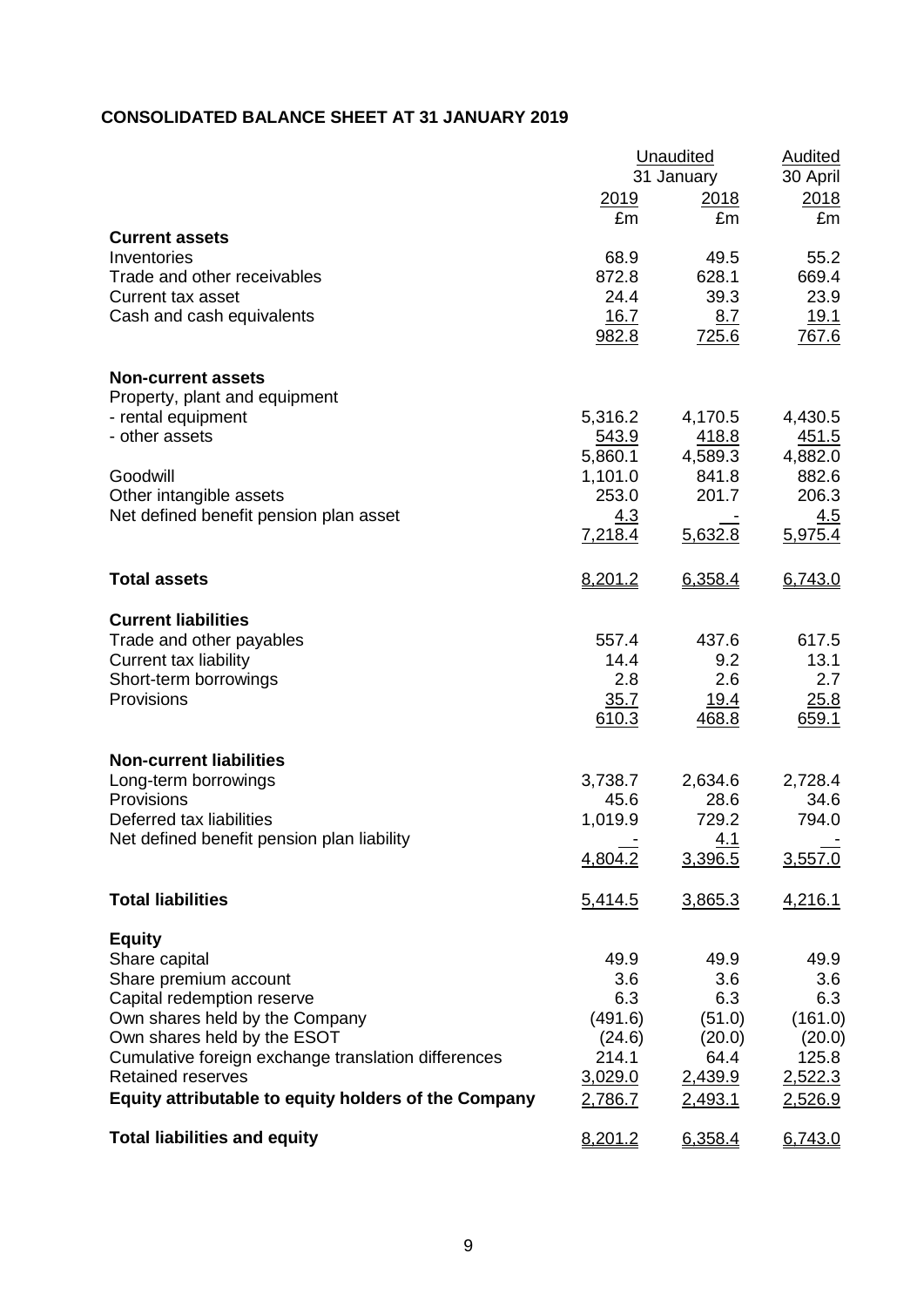# **CONSOLIDATED BALANCE SHEET AT 31 JANUARY 2019**

|                                                      | Unaudited        | <b>Audited</b><br>30 April  |                         |
|------------------------------------------------------|------------------|-----------------------------|-------------------------|
|                                                      | <u> 2019</u>     | 31 January<br>2018          | 2018                    |
|                                                      | £m               | £m                          | £m                      |
| <b>Current assets</b><br>Inventories                 | 68.9             | 49.5                        | 55.2                    |
| Trade and other receivables                          | 872.8            | 628.1                       | 669.4                   |
| Current tax asset                                    | 24.4             | 39.3                        | 23.9                    |
| Cash and cash equivalents                            | 16.7             | 8.7                         | <u>19.1</u>             |
|                                                      | 982.8            | <u>725.6</u>                | 767.6                   |
| <b>Non-current assets</b>                            |                  |                             |                         |
| Property, plant and equipment                        |                  |                             |                         |
| - rental equipment                                   | 5,316.2          | 4,170.5                     | 4,430.5                 |
| - other assets                                       | 543.9<br>5,860.1 | 418.8<br>4,589.3            | <u>451.5</u><br>4,882.0 |
| Goodwill                                             | 1,101.0          | 841.8                       | 882.6                   |
| Other intangible assets                              | 253.0            | 201.7                       | 206.3                   |
| Net defined benefit pension plan asset               | 4.3              |                             | <u>4.5</u>              |
|                                                      | 7,218.4          | 5,632.8                     | 5,975.4                 |
| <b>Total assets</b>                                  | 8,201.2          | 6,358.4                     | 6,743.0                 |
| <b>Current liabilities</b>                           |                  |                             |                         |
| Trade and other payables                             | 557.4            | 437.6                       | 617.5                   |
| Current tax liability                                | 14.4             | 9.2                         | 13.1                    |
| Short-term borrowings                                | 2.8              | 2.6                         | 2.7                     |
| Provisions                                           | 35.7<br>610.3    | <u>19.4</u><br><u>468.8</u> | 25.8<br>659.1           |
|                                                      |                  |                             |                         |
| <b>Non-current liabilities</b>                       |                  |                             |                         |
| Long-term borrowings<br>Provisions                   | 3,738.7          | 2,634.6<br>28.6             | 2,728.4                 |
| Deferred tax liabilities                             | 45.6<br>1,019.9  | 729.2                       | 34.6<br>794.0           |
| Net defined benefit pension plan liability           |                  | 4.1                         |                         |
|                                                      | 4,804.2          | 3,396.5                     | 3,557.0                 |
| <b>Total liabilities</b>                             | 5,414.5          | 3,865.3                     | 4,216.1                 |
| <b>Equity</b>                                        |                  |                             |                         |
| Share capital                                        | 49.9             | 49.9                        | 49.9                    |
| Share premium account<br>Capital redemption reserve  | 3.6<br>6.3       | 3.6<br>6.3                  | 3.6<br>6.3              |
| Own shares held by the Company                       | (491.6)          | (51.0)                      | (161.0)                 |
| Own shares held by the ESOT                          | (24.6)           | (20.0)                      | (20.0)                  |
| Cumulative foreign exchange translation differences  | 214.1            | 64.4                        | 125.8                   |
| <b>Retained reserves</b>                             | 3,029.0          | 2,439.9                     | 2,522.3                 |
| Equity attributable to equity holders of the Company | 2,786.7          | 2,493.1                     | 2,526.9                 |
| <b>Total liabilities and equity</b>                  | 8,201.2          | 6,358.4                     | 6,743.0                 |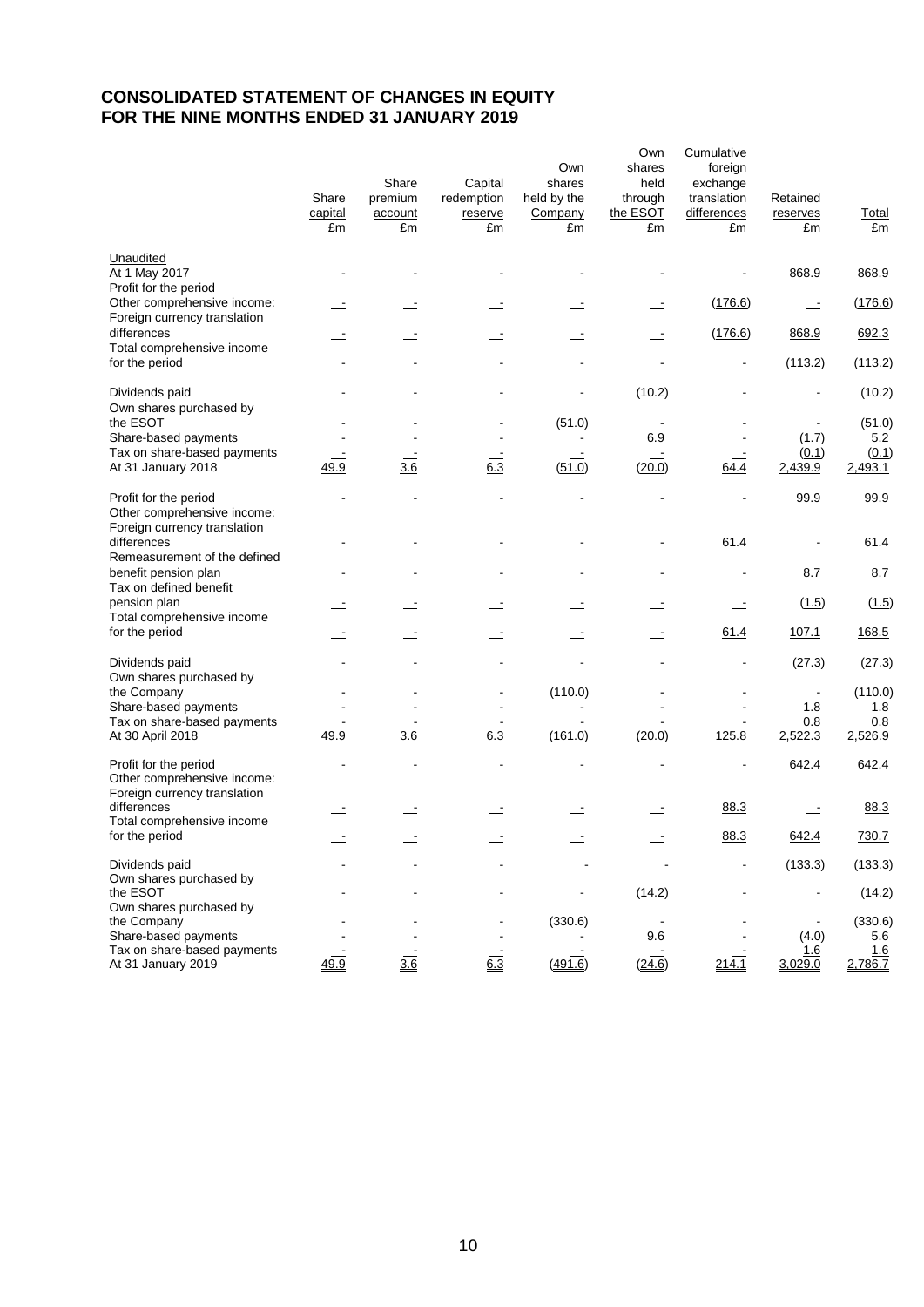# **CONSOLIDATED STATEMENT OF CHANGES IN EQUITY FOR THE NINE MONTHS ENDED 31 JANUARY 2019**

|                                                                                      | Share<br>capital<br>£m | Share<br>premium<br>account<br>£m | Capital<br>redemption<br>reserve<br>£m | Own<br>shares<br>held by the<br>Company<br>£m | Own<br>shares<br>held<br>through<br>the ESOT<br>£m | Cumulative<br>foreign<br>exchange<br>translation<br>differences<br>£m | Retained<br>reserves<br>£m | <b>Total</b><br>£m |
|--------------------------------------------------------------------------------------|------------------------|-----------------------------------|----------------------------------------|-----------------------------------------------|----------------------------------------------------|-----------------------------------------------------------------------|----------------------------|--------------------|
| Unaudited<br>At 1 May 2017<br>Profit for the period                                  |                        |                                   |                                        |                                               |                                                    |                                                                       | 868.9                      | 868.9              |
| Other comprehensive income:<br>Foreign currency translation                          |                        |                                   |                                        |                                               |                                                    | (176.6)                                                               | $\mathbf{r}$               | (176.6)            |
| differences<br>Total comprehensive income                                            |                        |                                   | $\mathbf{r}$                           | $\overline{\phantom{a}}$                      | $\sim$                                             | (176.6)                                                               | 868.9                      | 692.3              |
| for the period                                                                       |                        |                                   |                                        | ÷                                             |                                                    | $\overline{a}$                                                        | (113.2)                    | (113.2)            |
| Dividends paid<br>Own shares purchased by                                            |                        |                                   |                                        |                                               | (10.2)                                             |                                                                       |                            | (10.2)             |
| the ESOT                                                                             |                        |                                   |                                        | (51.0)                                        |                                                    |                                                                       |                            | (51.0)             |
| Share-based payments<br>Tax on share-based payments                                  |                        |                                   |                                        |                                               | 6.9                                                |                                                                       | (1.7)<br>(0.1)             | 5.2<br>(0.1)       |
| At 31 January 2018                                                                   | 49.9                   | 3.6                               | 6.3                                    | (51.0)                                        | (20.0)                                             | 64.4                                                                  | 2,439.9                    | 2,493.1            |
| Profit for the period<br>Other comprehensive income:                                 |                        |                                   |                                        |                                               |                                                    |                                                                       | 99.9                       | 99.9               |
| Foreign currency translation<br>differences                                          |                        |                                   |                                        |                                               |                                                    | 61.4                                                                  |                            | 61.4               |
| Remeasurement of the defined<br>benefit pension plan<br>Tax on defined benefit       |                        |                                   |                                        |                                               |                                                    |                                                                       | 8.7                        | 8.7                |
| pension plan<br>Total comprehensive income                                           |                        |                                   |                                        |                                               |                                                    | $\overline{\phantom{a}}$                                              | (1.5)                      | (1.5)              |
| for the period                                                                       |                        |                                   |                                        |                                               |                                                    | 61.4                                                                  | 107.1                      | 168.5              |
| Dividends paid<br>Own shares purchased by                                            |                        |                                   |                                        |                                               |                                                    |                                                                       | (27.3)                     | (27.3)             |
| the Company                                                                          |                        |                                   |                                        | (110.0)                                       |                                                    |                                                                       |                            | (110.0)            |
| Share-based payments                                                                 |                        |                                   |                                        |                                               |                                                    |                                                                       | 1.8                        | 1.8                |
| Tax on share-based payments<br>At 30 April 2018                                      | 49.9                   | $\frac{3.6}{3.6}$                 | $6.\overline{3}$                       | (161.0)                                       | (20.0)                                             | 125.8                                                                 | 0.8<br>2,522.3             | 0.8<br>2,526.9     |
| Profit for the period<br>Other comprehensive income:<br>Foreign currency translation |                        |                                   |                                        |                                               |                                                    |                                                                       | 642.4                      | 642.4              |
| differences<br>Total comprehensive income                                            |                        |                                   |                                        |                                               |                                                    | 88.3                                                                  |                            | 88.3               |
| for the period                                                                       |                        |                                   |                                        |                                               |                                                    | 88.3                                                                  | 642.4                      | 730.7              |
| Dividends paid<br>Own shares purchased by                                            |                        |                                   |                                        |                                               |                                                    |                                                                       | (133.3)                    | (133.3)            |
| the ESOT<br>Own shares purchased by                                                  |                        |                                   |                                        |                                               | (14.2)                                             |                                                                       |                            | (14.2)             |
| the Company                                                                          |                        |                                   |                                        | (330.6)                                       |                                                    |                                                                       |                            | (330.6)            |
| Share-based payments                                                                 |                        |                                   |                                        |                                               | 9.6                                                |                                                                       | (4.0)                      | 5.6                |
| Tax on share-based payments<br>At 31 January 2019                                    | 49.9                   | 3.6                               | $6.\overline{3}$                       | (491.6)                                       | (24.6)                                             | 214.1                                                                 | <u>1.6</u><br>3,029.0      | 1.6<br>2,786.7     |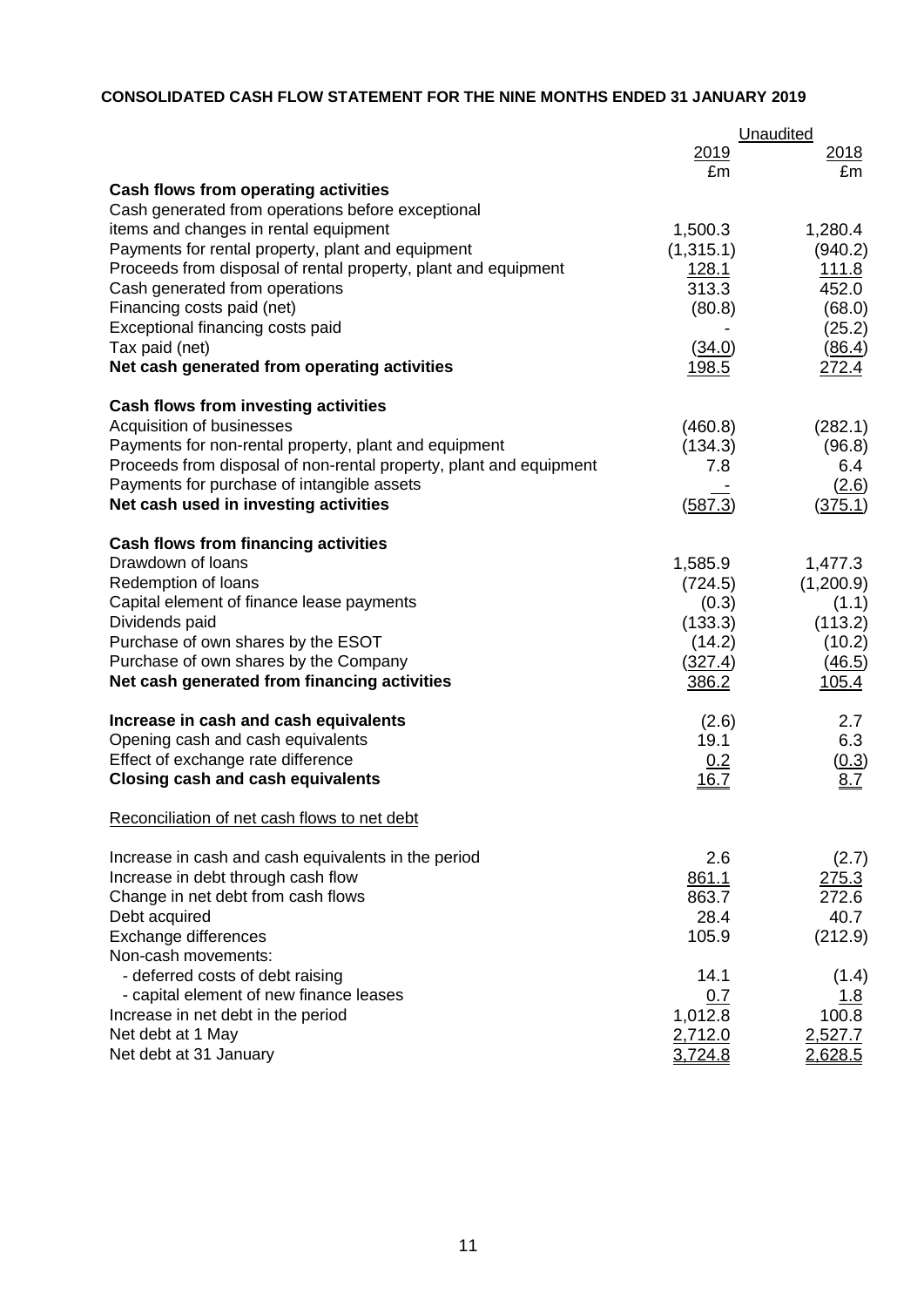# **CONSOLIDATED CASH FLOW STATEMENT FOR THE NINE MONTHS ENDED 31 JANUARY 2019**

|                                                                    |              | Unaudited    |  |
|--------------------------------------------------------------------|--------------|--------------|--|
|                                                                    | 2019         | <u>2018</u>  |  |
|                                                                    | £m           | £m           |  |
| <b>Cash flows from operating activities</b>                        |              |              |  |
| Cash generated from operations before exceptional                  |              |              |  |
| items and changes in rental equipment                              | 1,500.3      | 1,280.4      |  |
| Payments for rental property, plant and equipment                  | (1,315.1)    | (940.2)      |  |
| Proceeds from disposal of rental property, plant and equipment     | 128.1        | <u>111.8</u> |  |
| Cash generated from operations                                     | 313.3        | 452.0        |  |
| Financing costs paid (net)                                         | (80.8)       | (68.0)       |  |
| Exceptional financing costs paid                                   |              | (25.2)       |  |
| Tax paid (net)                                                     | (34.0)       | (86.4)       |  |
| Net cash generated from operating activities                       | <u>198.5</u> | 272.4        |  |
| <b>Cash flows from investing activities</b>                        |              |              |  |
| Acquisition of businesses                                          | (460.8)      | (282.1)      |  |
| Payments for non-rental property, plant and equipment              | (134.3)      | (96.8)       |  |
| Proceeds from disposal of non-rental property, plant and equipment | 7.8          | 6.4          |  |
| Payments for purchase of intangible assets                         |              | (2.6)        |  |
| Net cash used in investing activities                              | (587.3)      | (375.1)      |  |
| <b>Cash flows from financing activities</b>                        |              |              |  |
| Drawdown of loans                                                  | 1,585.9      | 1,477.3      |  |
| Redemption of loans                                                | (724.5)      | (1,200.9)    |  |
| Capital element of finance lease payments                          | (0.3)        | (1.1)        |  |
| Dividends paid                                                     | (133.3)      | (113.2)      |  |
| Purchase of own shares by the ESOT                                 | (14.2)       | (10.2)       |  |
| Purchase of own shares by the Company                              | (327.4)      | (46.5)       |  |
| Net cash generated from financing activities                       | 386.2        | 105.4        |  |
| Increase in cash and cash equivalents                              | (2.6)        | 2.7          |  |
| Opening cash and cash equivalents                                  | 19.1         | 6.3          |  |
| Effect of exchange rate difference                                 | 0.2          | (0.3)        |  |
| <b>Closing cash and cash equivalents</b>                           | <u>16.7</u>  | 8.Z          |  |
| Reconciliation of net cash flows to net debt                       |              |              |  |
| Increase in cash and cash equivalents in the period                | 2.6          | (2.7)        |  |
| Increase in debt through cash flow                                 | 861.1        | 275.3        |  |
| Change in net debt from cash flows                                 | 863.7        | 272.6        |  |
| Debt acquired                                                      | 28.4         | 40.7         |  |
| Exchange differences                                               | 105.9        | (212.9)      |  |
| Non-cash movements:                                                |              |              |  |
| - deferred costs of debt raising                                   | 14.1         | (1.4)        |  |
| - capital element of new finance leases                            | 0.7          | <u> 1.8</u>  |  |
| Increase in net debt in the period                                 | 1,012.8      | 100.8        |  |
| Net debt at 1 May                                                  | 2,712.0      | 2,527.7      |  |
| Net debt at 31 January                                             | 3,724.8      | 2,628.5      |  |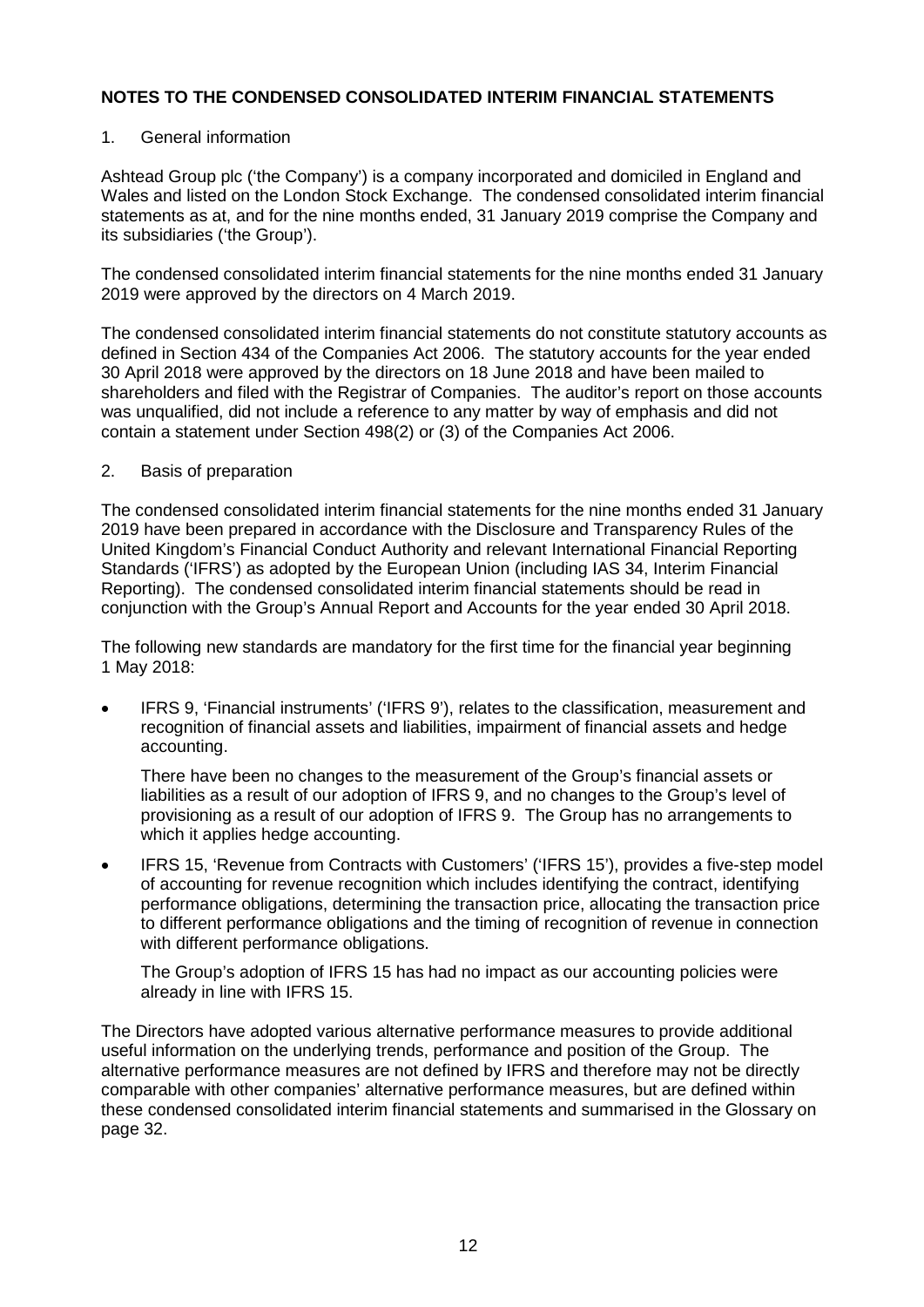### 1. General information

Ashtead Group plc ('the Company') is a company incorporated and domiciled in England and Wales and listed on the London Stock Exchange. The condensed consolidated interim financial statements as at, and for the nine months ended, 31 January 2019 comprise the Company and its subsidiaries ('the Group').

The condensed consolidated interim financial statements for the nine months ended 31 January 2019 were approved by the directors on 4 March 2019.

The condensed consolidated interim financial statements do not constitute statutory accounts as defined in Section 434 of the Companies Act 2006. The statutory accounts for the year ended 30 April 2018 were approved by the directors on 18 June 2018 and have been mailed to shareholders and filed with the Registrar of Companies. The auditor's report on those accounts was unqualified, did not include a reference to any matter by way of emphasis and did not contain a statement under Section 498(2) or (3) of the Companies Act 2006.

### 2. Basis of preparation

The condensed consolidated interim financial statements for the nine months ended 31 January 2019 have been prepared in accordance with the Disclosure and Transparency Rules of the United Kingdom's Financial Conduct Authority and relevant International Financial Reporting Standards ('IFRS') as adopted by the European Union (including IAS 34, Interim Financial Reporting). The condensed consolidated interim financial statements should be read in conjunction with the Group's Annual Report and Accounts for the year ended 30 April 2018.

The following new standards are mandatory for the first time for the financial year beginning 1 May 2018:

• IFRS 9, 'Financial instruments' ('IFRS 9'), relates to the classification, measurement and recognition of financial assets and liabilities, impairment of financial assets and hedge accounting.

There have been no changes to the measurement of the Group's financial assets or liabilities as a result of our adoption of IFRS 9, and no changes to the Group's level of provisioning as a result of our adoption of IFRS 9. The Group has no arrangements to which it applies hedge accounting.

• IFRS 15, 'Revenue from Contracts with Customers' ('IFRS 15'), provides a five-step model of accounting for revenue recognition which includes identifying the contract, identifying performance obligations, determining the transaction price, allocating the transaction price to different performance obligations and the timing of recognition of revenue in connection with different performance obligations.

The Group's adoption of IFRS 15 has had no impact as our accounting policies were already in line with IFRS 15.

The Directors have adopted various alternative performance measures to provide additional useful information on the underlying trends, performance and position of the Group. The alternative performance measures are not defined by IFRS and therefore may not be directly comparable with other companies' alternative performance measures, but are defined within these condensed consolidated interim financial statements and summarised in the Glossary on page 32.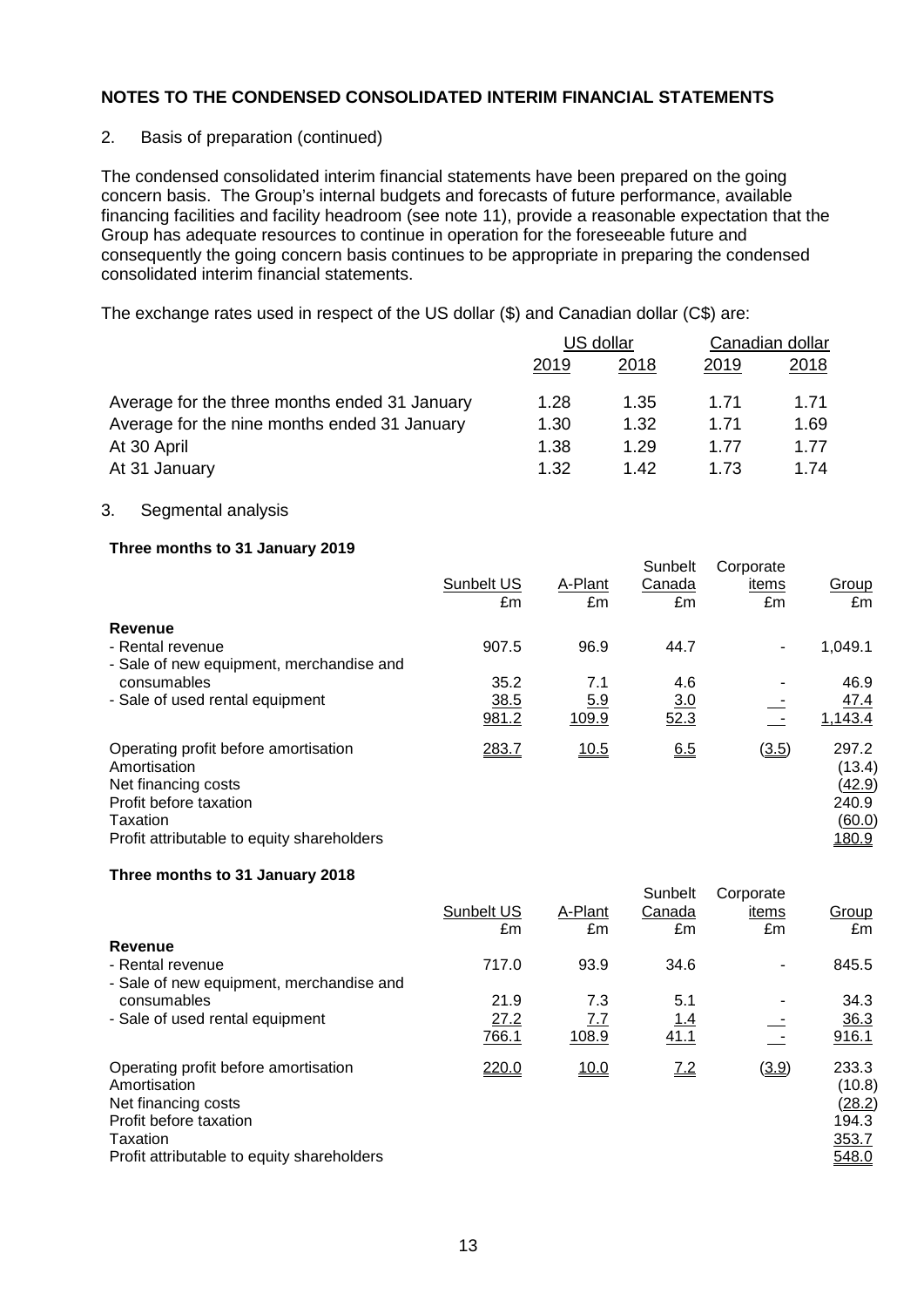### 2. Basis of preparation (continued)

The condensed consolidated interim financial statements have been prepared on the going concern basis. The Group's internal budgets and forecasts of future performance, available financing facilities and facility headroom (see note 11), provide a reasonable expectation that the Group has adequate resources to continue in operation for the foreseeable future and consequently the going concern basis continues to be appropriate in preparing the condensed consolidated interim financial statements.

The exchange rates used in respect of the US dollar (\$) and Canadian dollar (C\$) are:

|                                               | US dollar |      | Canadian dollar |      |
|-----------------------------------------------|-----------|------|-----------------|------|
|                                               | 2019      | 2018 | 2019            | 2018 |
| Average for the three months ended 31 January | 1.28      | 1.35 | 1.71            | 1.71 |
| Average for the nine months ended 31 January  | 1.30      | 1.32 | 1.71            | 1.69 |
| At 30 April                                   | 1.38      | 1.29 | 1.77            | 1.77 |
| At 31 January                                 | 1.32      | 1.42 | 1.73            | 1.74 |

### 3. Segmental analysis

### **Three months to 31 January 2019**

|                                                                                                                                                                 | Sunbelt US | A-Plant    | Sunbelt<br>Canada | Corporate<br>items | Group                                                        |
|-----------------------------------------------------------------------------------------------------------------------------------------------------------------|------------|------------|-------------------|--------------------|--------------------------------------------------------------|
|                                                                                                                                                                 | £m         | £m         | £m                | £m                 | £m                                                           |
| Revenue                                                                                                                                                         |            |            |                   |                    |                                                              |
| - Rental revenue                                                                                                                                                | 907.5      | 96.9       | 44.7              | ٠                  | 1,049.1                                                      |
| - Sale of new equipment, merchandise and                                                                                                                        |            |            |                   |                    |                                                              |
| consumables                                                                                                                                                     | 35.2       | 7.1        | 4.6               |                    | 46.9                                                         |
| - Sale of used rental equipment                                                                                                                                 | 38.5       | <u>5.9</u> | 3.0               |                    | <u>47.4</u>                                                  |
|                                                                                                                                                                 | 981.2      | 109.9      | 52.3              | $\sim$ $-$         | 1,143.4                                                      |
| Operating profit before amortisation<br>Amortisation<br>Net financing costs<br>Profit before taxation<br>Taxation<br>Profit attributable to equity shareholders | 283.7      | 10.5       | 6.5               | (3.5)              | 297.2<br>(13.4)<br><u>(42.9)</u><br>240.9<br>(60.0)<br>180.9 |

#### **Three months to 31 January 2018**

|                                                                                                                                                                 | Sunbelt US<br>£m | A-Plant<br>£m | Sunbelt<br>Canada<br>£m | Corporate<br>items<br>£m | Group<br>£m                                                 |
|-----------------------------------------------------------------------------------------------------------------------------------------------------------------|------------------|---------------|-------------------------|--------------------------|-------------------------------------------------------------|
| Revenue                                                                                                                                                         |                  |               |                         |                          |                                                             |
| - Rental revenue                                                                                                                                                | 717.0            | 93.9          | 34.6                    |                          | 845.5                                                       |
| - Sale of new equipment, merchandise and                                                                                                                        |                  |               |                         |                          |                                                             |
| consumables                                                                                                                                                     | 21.9             | 7.3           | 5.1                     |                          | 34.3                                                        |
| - Sale of used rental equipment                                                                                                                                 | 27.2             | <u>7.7</u>    | <u>1.4</u>              |                          | 36.3                                                        |
|                                                                                                                                                                 | 766.1            | 108.9         | 41.1                    |                          | 916.1                                                       |
| Operating profit before amortisation<br>Amortisation<br>Net financing costs<br>Profit before taxation<br>Taxation<br>Profit attributable to equity shareholders | 220.0            | 10.0          | 7.2                     | (3.9)                    | 233.3<br>(10.8)<br><u>(28.2)</u><br>194.3<br>353.7<br>548.0 |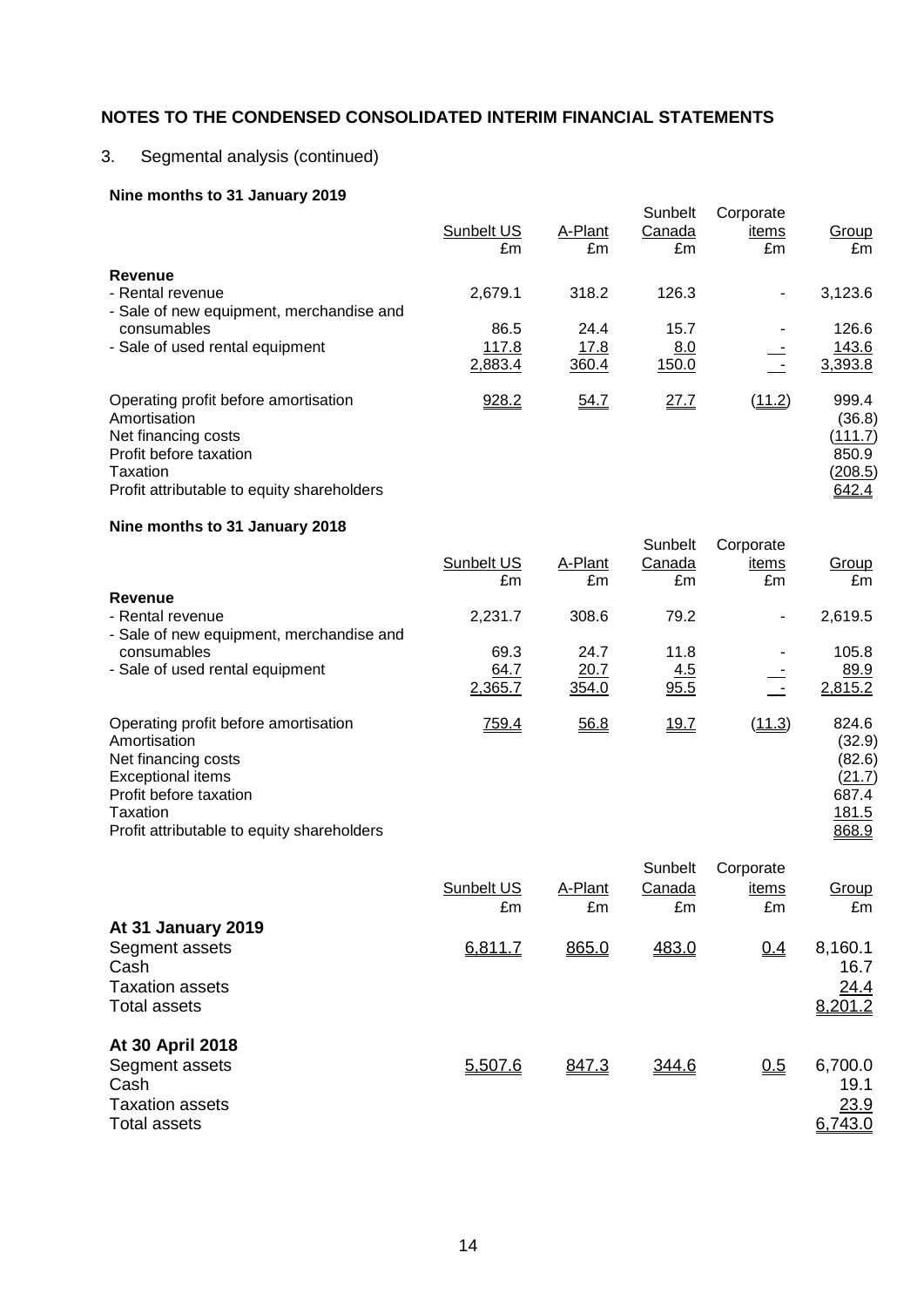# 3. Segmental analysis (continued)

# **Nine months to 31 January 2019**

|                                                                                                                                                                 | Sunbelt US<br>£m         | A-Plant<br>£m         | Sunbelt<br>Canada<br>£m | Corporate<br>items<br>£m | Group<br>£m                                                    |
|-----------------------------------------------------------------------------------------------------------------------------------------------------------------|--------------------------|-----------------------|-------------------------|--------------------------|----------------------------------------------------------------|
| Revenue<br>- Rental revenue<br>- Sale of new equipment, merchandise and                                                                                         | 2,679.1                  | 318.2                 | 126.3                   | $\blacksquare$           | 3,123.6                                                        |
| consumables<br>- Sale of used rental equipment                                                                                                                  | 86.5<br>117.8<br>2,883.4 | 24.4<br>17.8<br>360.4 | 15.7<br>8.0<br>150.0    | $\sim$ $-$               | 126.6<br>143.6<br>3,393.8                                      |
| Operating profit before amortisation<br>Amortisation<br>Net financing costs<br>Profit before taxation<br>Taxation<br>Profit attributable to equity shareholders | 928.2                    | 54.7                  | 27.7                    | (11.2)                   | 999.4<br>(36.8)<br><u>(111.7)</u><br>850.9<br>(208.5)<br>642.4 |
| Nine months to 31 January 2018                                                                                                                                  |                          |                       |                         |                          |                                                                |

|                                                      |            |         | Sunbelt | Corporate      |                 |
|------------------------------------------------------|------------|---------|---------|----------------|-----------------|
|                                                      | Sunbelt US | A-Plant | Canada  | items          | Group           |
|                                                      | £m         | £m      | £m      | £m             | £m              |
| Revenue                                              |            |         |         |                |                 |
| - Rental revenue                                     | 2,231.7    | 308.6   | 79.2    | $\blacksquare$ | 2,619.5         |
| - Sale of new equipment, merchandise and             |            |         |         |                |                 |
| consumables                                          | 69.3       | 24.7    | 11.8    |                | 105.8           |
| - Sale of used rental equipment                      | 64.7       | 20.7    | 4.5     |                | 89.9            |
|                                                      | 2,365.7    | 354.0   | 95.5    |                | 2,815.2         |
| Operating profit before amortisation<br>Amortisation | 759.4      | 56.8    | 19.7    | (11.3)         | 824.6<br>(32.9) |
| Net financing costs                                  |            |         |         |                | (82.6)          |
| <b>Exceptional items</b>                             |            |         |         |                | (21.7)          |
| Profit before taxation                               |            |         |         |                | 687.4           |
| Taxation                                             |            |         |         |                | 181.5           |
| Profit attributable to equity shareholders           |            |         |         |                | 868.9           |

|                        |            |         | Sunbelt | Corporate |         |
|------------------------|------------|---------|---------|-----------|---------|
|                        | Sunbelt US | A-Plant | Canada  | items     | Group   |
|                        | £m         | £m      | £m      | £m        | £m      |
| At 31 January 2019     |            |         |         |           |         |
| Segment assets         | 6,811.7    | 865.0   | 483.0   | 0.4       | 8,160.1 |
| Cash                   |            |         |         |           | 16.7    |
| <b>Taxation assets</b> |            |         |         |           | 24.4    |
| <b>Total assets</b>    |            |         |         |           | 8,201.2 |
|                        |            |         |         |           |         |
| At 30 April 2018       |            |         |         |           |         |
| Segment assets         | 5,507.6    | 847.3   | 344.6   | 0.5       | 6,700.0 |
| Cash                   |            |         |         |           | 19.1    |
| <b>Taxation assets</b> |            |         |         |           | 23.9    |
| <b>Total assets</b>    |            |         |         |           | 6,743.0 |
|                        |            |         |         |           |         |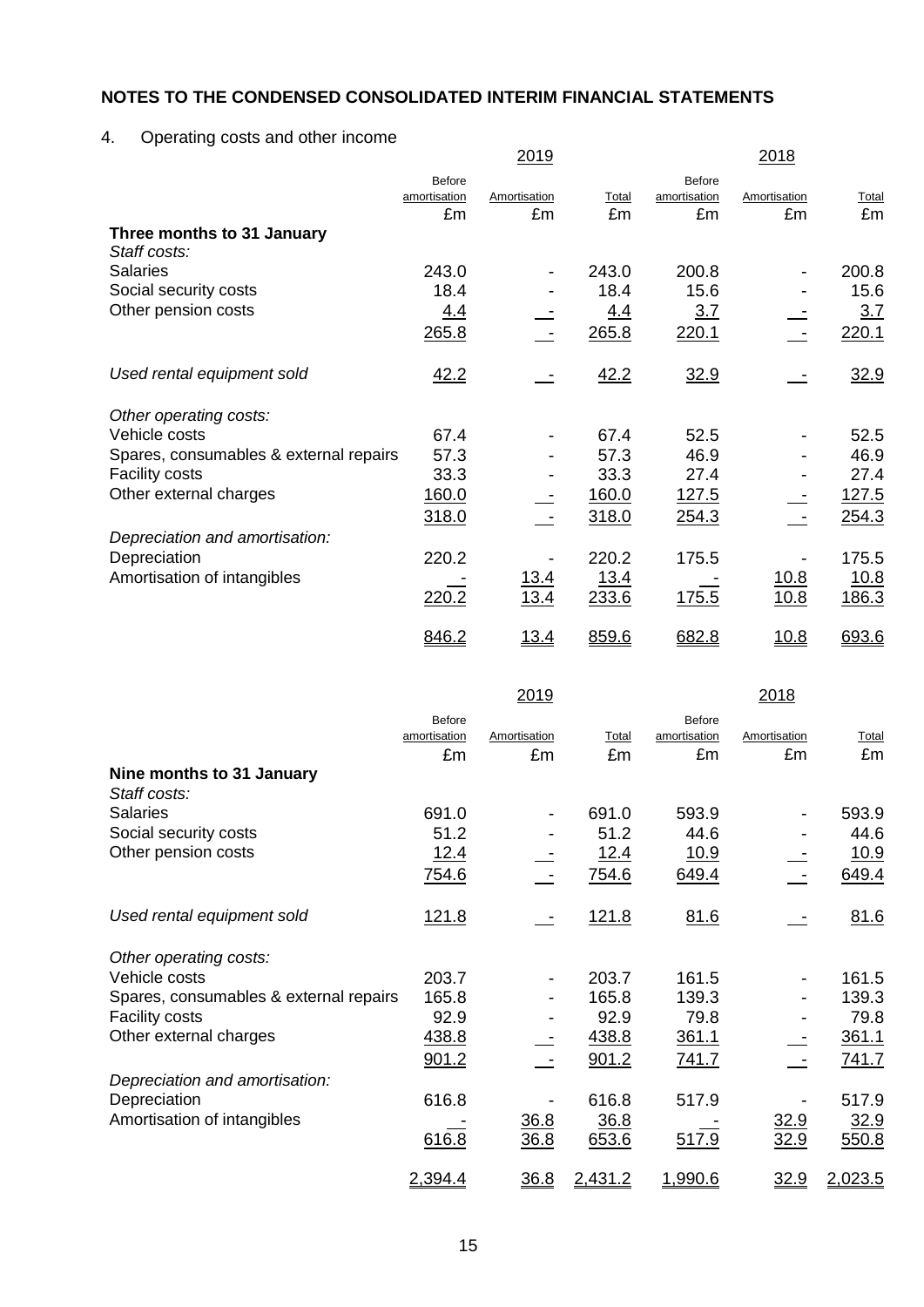# 4. Operating costs and other income

|                                            |               | <u> 2019 </u> |       |              | <u> 2018 </u> |              |
|--------------------------------------------|---------------|---------------|-------|--------------|---------------|--------------|
|                                            | <b>Before</b> |               |       | Before       |               |              |
|                                            | amortisation  | Amortisation  | Total | amortisation | Amortisation  | Total        |
|                                            | £m            | £m            | £m    | £m           | £m            | £m           |
| Three months to 31 January<br>Staff costs: |               |               |       |              |               |              |
| <b>Salaries</b>                            | 243.0         |               | 243.0 | 200.8        |               | 200.8        |
| Social security costs                      | 18.4          |               | 18.4  | 15.6         |               | 15.6         |
| Other pension costs                        | 4.4           |               | 4.4   | 3.7          |               | 3.7          |
|                                            | 265.8         |               | 265.8 | 220.1        |               | 220.1        |
| Used rental equipment sold                 | 42.2          |               | 42.2  | 32.9         |               | 32.9         |
| Other operating costs:                     |               |               |       |              |               |              |
| Vehicle costs                              | 67.4          |               | 67.4  | 52.5         |               | 52.5         |
| Spares, consumables & external repairs     | 57.3          |               | 57.3  | 46.9         |               | 46.9         |
| <b>Facility costs</b>                      | 33.3          |               | 33.3  | 27.4         |               | 27.4         |
| Other external charges                     | 160.0         |               | 160.0 | 127.5        |               | 127.5        |
|                                            | 318.0         |               | 318.0 | 254.3        |               | 254.3        |
| Depreciation and amortisation:             |               |               |       |              |               |              |
| Depreciation                               | 220.2         |               | 220.2 | 175.5        |               | 175.5        |
| Amortisation of intangibles                |               | <u> 13.4</u>  | 13.4  |              | 10.8          | <u> 10.8</u> |
|                                            | 220.2         | 13.4          | 233.6 | 175.5        | 10.8          | 186.3        |
|                                            | 846.2         | <u> 13.4</u>  | 859.6 | 682.8        | <u> 10.8</u>  | 693.6        |

|                                        |                                     | <u> 2019 </u>      |              |                                     | <u> 2018 </u>      |             |
|----------------------------------------|-------------------------------------|--------------------|--------------|-------------------------------------|--------------------|-------------|
|                                        | <b>Before</b><br>amortisation<br>£m | Amortisation<br>£m | Total<br>£m  | <b>Before</b><br>amortisation<br>£m | Amortisation<br>£m | Total<br>£m |
| Nine months to 31 January              |                                     |                    |              |                                     |                    |             |
| Staff costs:                           |                                     |                    |              |                                     |                    |             |
| <b>Salaries</b>                        | 691.0                               |                    | 691.0        | 593.9                               |                    | 593.9       |
| Social security costs                  | 51.2                                |                    | 51.2         | 44.6                                |                    | 44.6        |
| Other pension costs                    | <u>12.4</u>                         |                    | 12.4         | <u>10.9</u>                         |                    | 10.9        |
|                                        | 754.6                               |                    | 754.6        | 649.4                               |                    | 649.4       |
| Used rental equipment sold             | 121.8                               |                    | <u>121.8</u> | 81.6                                |                    | 81.6        |
| Other operating costs:                 |                                     |                    |              |                                     |                    |             |
| Vehicle costs                          | 203.7                               |                    | 203.7        | 161.5                               |                    | 161.5       |
| Spares, consumables & external repairs | 165.8                               |                    | 165.8        | 139.3                               |                    | 139.3       |
| <b>Facility costs</b>                  | 92.9                                |                    | 92.9         | 79.8                                |                    | 79.8        |
| Other external charges                 | 438.8                               |                    | 438.8        | 361.1                               |                    | 361.1       |
|                                        | 901.2                               |                    | 901.2        | 741.7                               |                    | 741.7       |
| Depreciation and amortisation:         |                                     |                    |              |                                     |                    |             |
| Depreciation                           | 616.8                               |                    | 616.8        | 517.9                               |                    | 517.9       |
| Amortisation of intangibles            |                                     | 36.8               | 36.8         |                                     | 32.9               | 32.9        |
|                                        | 616.8                               | 36.8               | 653.6        | 517.9                               | 32.9               | 550.8       |
|                                        | 2,394.4                             | 36.8               | 2,431.2      | <u>1,990.6</u>                      | <u>32.9</u>        | 2,023.5     |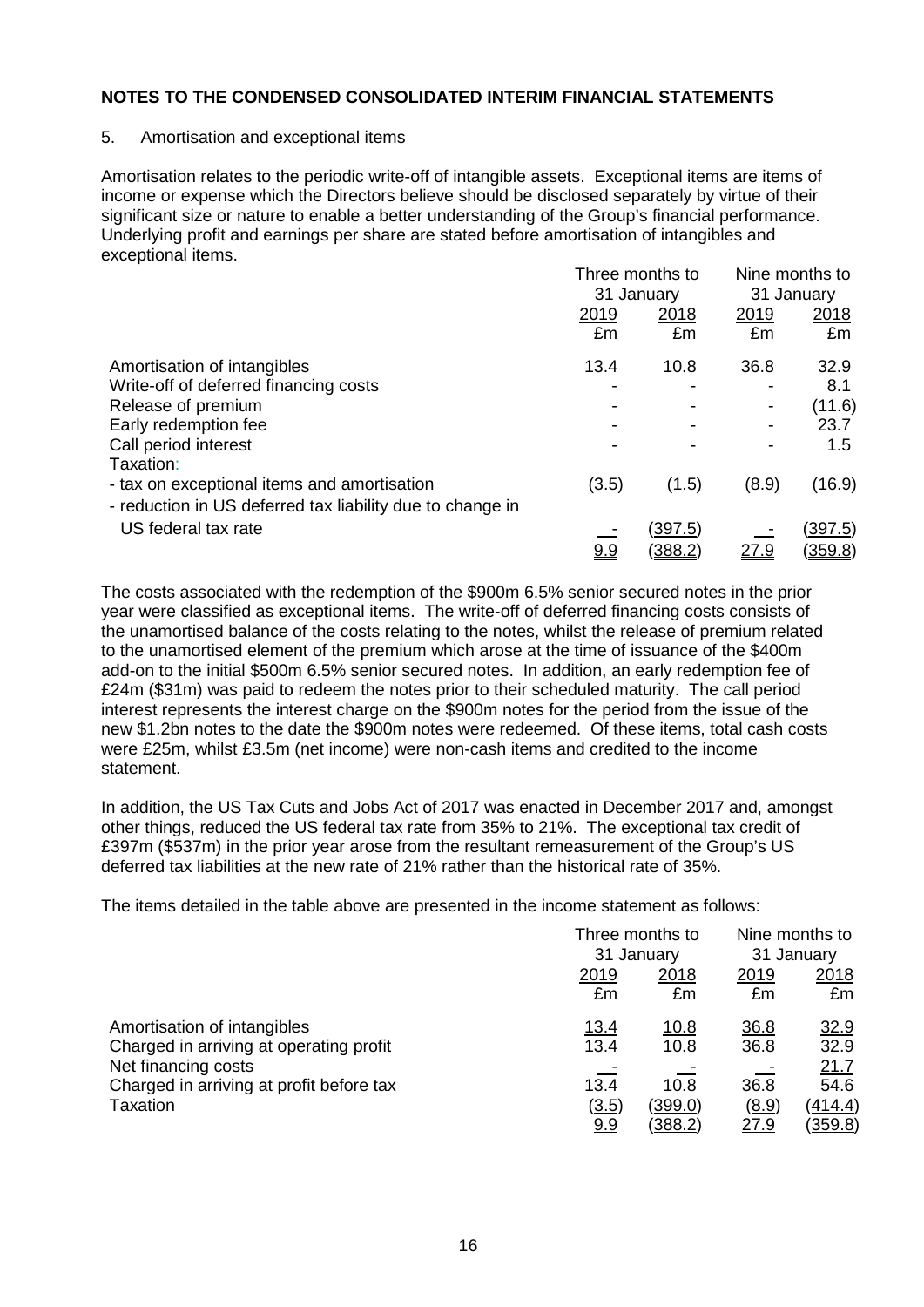#### 5. Amortisation and exceptional items

Amortisation relates to the periodic write-off of intangible assets. Exceptional items are items of income or expense which the Directors believe should be disclosed separately by virtue of their significant size or nature to enable a better understanding of the Group's financial performance. Underlying profit and earnings per share are stated before amortisation of intangibles and exceptional items.

|                                                           | Three months to |                          | Nine months to           |                |
|-----------------------------------------------------------|-----------------|--------------------------|--------------------------|----------------|
|                                                           |                 | 31 January               | 31 January               |                |
|                                                           | 2019            | <u>2018</u>              | <u>2019</u>              | <u>2018</u>    |
|                                                           | £m              | £m                       | £m                       | £m             |
| Amortisation of intangibles                               | 13.4            | 10.8                     | 36.8                     | 32.9           |
| Write-off of deferred financing costs                     |                 |                          | ۰                        | 8.1            |
| Release of premium                                        |                 |                          | $\overline{\phantom{a}}$ | (11.6)         |
| Early redemption fee                                      |                 | $\overline{\phantom{a}}$ |                          | 23.7           |
| Call period interest                                      |                 |                          |                          | 1.5            |
| Taxation:                                                 |                 |                          |                          |                |
| - tax on exceptional items and amortisation               | (3.5)           | (1.5)                    | (8.9)                    | (16.9)         |
| - reduction in US deferred tax liability due to change in |                 |                          |                          |                |
| US federal tax rate                                       |                 | (397.5)                  |                          | (397.5)        |
|                                                           | <u>9.9</u>      | <u>(388.2)</u>           | <u> 27.9</u>             | <u>(359.8)</u> |

The costs associated with the redemption of the \$900m 6.5% senior secured notes in the prior year were classified as exceptional items. The write-off of deferred financing costs consists of the unamortised balance of the costs relating to the notes, whilst the release of premium related to the unamortised element of the premium which arose at the time of issuance of the \$400m add-on to the initial \$500m 6.5% senior secured notes. In addition, an early redemption fee of £24m (\$31m) was paid to redeem the notes prior to their scheduled maturity. The call period interest represents the interest charge on the \$900m notes for the period from the issue of the new \$1.2bn notes to the date the \$900m notes were redeemed. Of these items, total cash costs were £25m, whilst £3.5m (net income) were non-cash items and credited to the income statement.

In addition, the US Tax Cuts and Jobs Act of 2017 was enacted in December 2017 and, amongst other things, reduced the US federal tax rate from 35% to 21%. The exceptional tax credit of £397m (\$537m) in the prior year arose from the resultant remeasurement of the Group's US deferred tax liabilities at the new rate of 21% rather than the historical rate of 35%.

The items detailed in the table above are presented in the income statement as follows:

|                                                                 |             | Three months to<br>31 January |             | Nine months to<br>31 January |
|-----------------------------------------------------------------|-------------|-------------------------------|-------------|------------------------------|
|                                                                 | 2019        | 2018                          | 2019        | 2018                         |
|                                                                 | £m          | £m                            | £m          | £m                           |
| Amortisation of intangibles                                     | <u>13.4</u> | <u>10.8</u>                   | 36.8        | <u>32.9</u>                  |
| Charged in arriving at operating profit                         | 13.4        | 10.8                          | 36.8        | 32.9                         |
| Net financing costs<br>Charged in arriving at profit before tax | 13.4        | 10.8                          | 36.8        | 21.7<br>54.6                 |
| <b>Taxation</b>                                                 | (3.5)       | (399.0)                       | (8.9)       | (414.4)                      |
|                                                                 | 9.9         | <u>(388.2)</u>                | <u>27.9</u> | <u>(359.8)</u>               |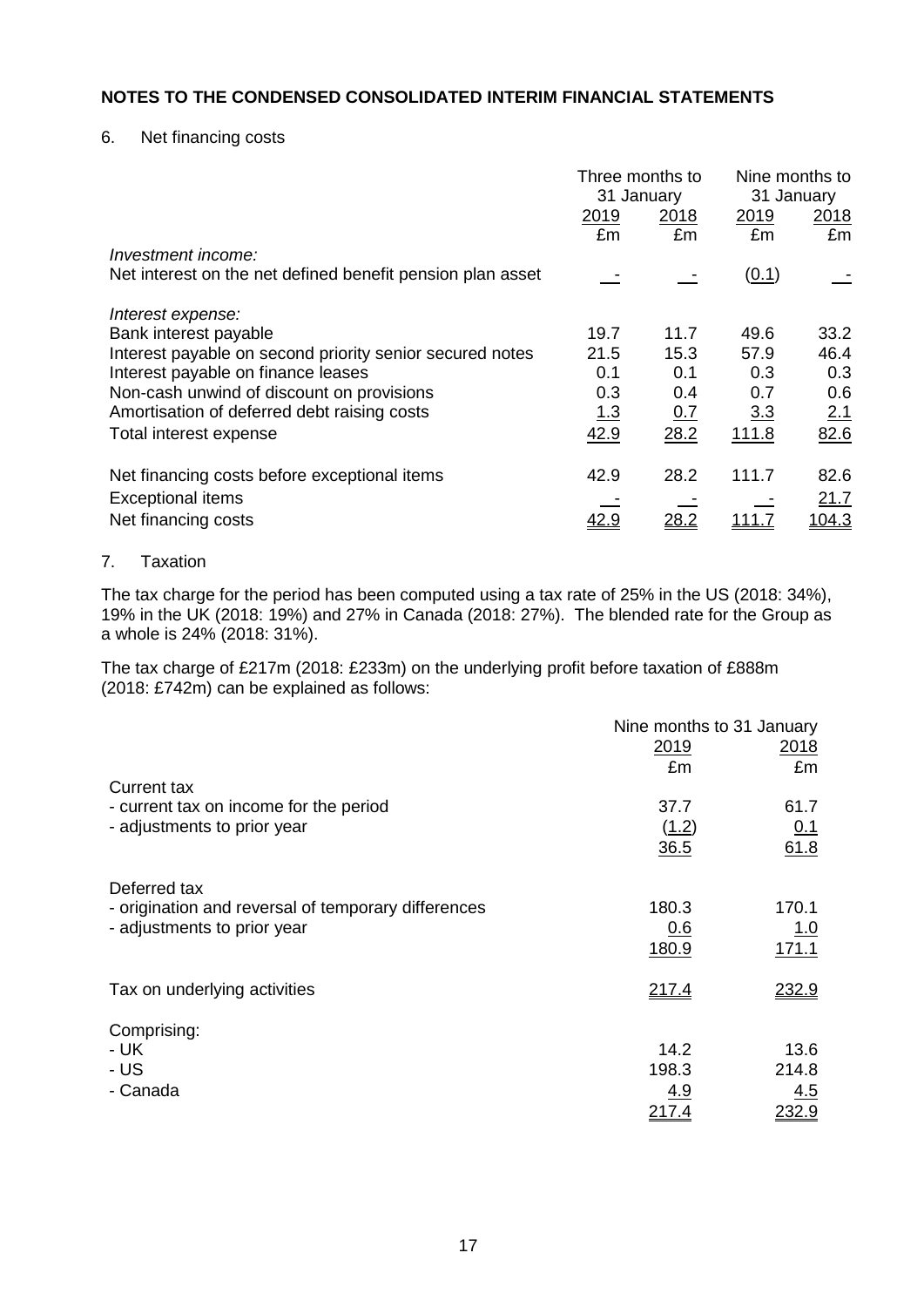6. Net financing costs

|                                                            | Three months to<br>31 January |      |       | Nine months to<br>31 January |
|------------------------------------------------------------|-------------------------------|------|-------|------------------------------|
|                                                            | 2019                          | 2018 | 2019  | 2018                         |
| Investment income:                                         | £m                            | £m   | £m    | £m                           |
|                                                            |                               |      |       |                              |
| Net interest on the net defined benefit pension plan asset |                               |      | (0.1) |                              |
| Interest expense:                                          |                               |      |       |                              |
| Bank interest payable                                      | 19.7                          | 11.7 | 49.6  | 33.2                         |
| Interest payable on second priority senior secured notes   | 21.5                          | 15.3 | 57.9  | 46.4                         |
| Interest payable on finance leases                         | 0.1                           | 0.1  | 0.3   | 0.3                          |
| Non-cash unwind of discount on provisions                  | 0.3                           | 0.4  | 0.7   | 0.6                          |
| Amortisation of deferred debt raising costs                | <u>1.3</u>                    | 0.7  | 3.3   | 2.1                          |
| Total interest expense                                     | 42.9                          | 28.2 | 111.8 | 82.6                         |
| Net financing costs before exceptional items               | 42.9                          | 28.2 | 111.7 | 82.6                         |
| <b>Exceptional items</b>                                   |                               |      |       | 21.7                         |
| Net financing costs                                        | 42.9                          | 28.2 | 111.7 | <u>104.3</u>                 |
|                                                            |                               |      |       |                              |

### 7. Taxation

The tax charge for the period has been computed using a tax rate of 25% in the US (2018: 34%), 19% in the UK (2018: 19%) and 27% in Canada (2018: 27%). The blended rate for the Group as a whole is 24% (2018: 31%).

The tax charge of £217m (2018: £233m) on the underlying profit before taxation of £888m (2018: £742m) can be explained as follows:

|                                                     | Nine months to 31 January |            |
|-----------------------------------------------------|---------------------------|------------|
|                                                     | 2019                      | 2018       |
|                                                     | £m                        | £m         |
| <b>Current tax</b>                                  |                           |            |
| - current tax on income for the period              | 37.7                      | 61.7       |
| - adjustments to prior year                         | (1.2)                     | 0.1        |
|                                                     | 36.5                      | 61.8       |
| Deferred tax                                        |                           |            |
| - origination and reversal of temporary differences | 180.3                     | 170.1      |
| - adjustments to prior year                         | 0.6                       | <u>1.0</u> |
|                                                     | 180.9                     | 171.1      |
| Tax on underlying activities                        | 217.4                     | 232.9      |
|                                                     |                           |            |
| Comprising:                                         |                           |            |
| - UK                                                | 14.2                      | 13.6       |
| - US                                                | 198.3                     | 214.8      |
| - Canada                                            | <u>4.9</u>                | <u>4.5</u> |
|                                                     | <u>217.4</u>              | 232.9      |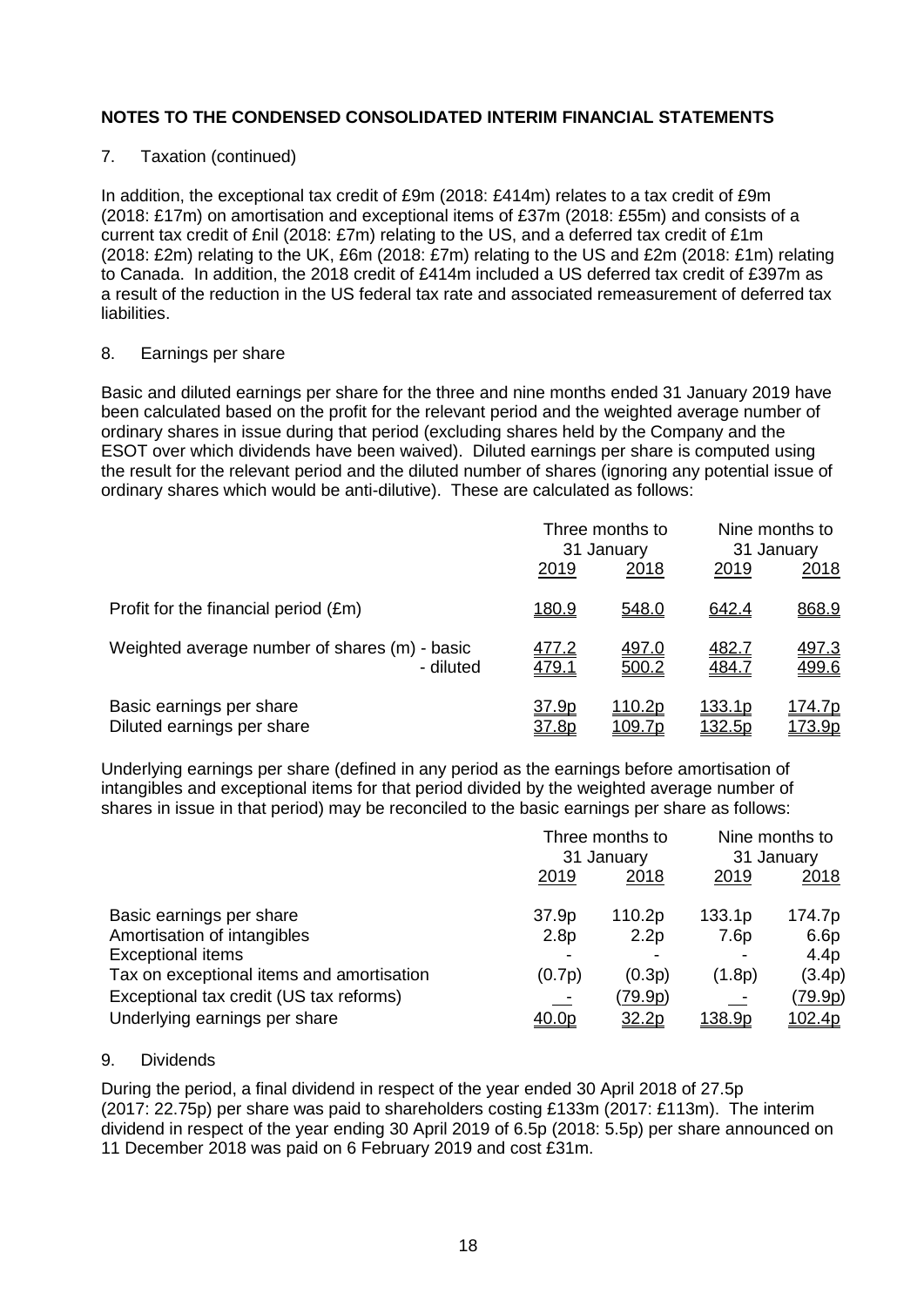# 7. Taxation (continued)

In addition, the exceptional tax credit of £9m (2018: £414m) relates to a tax credit of £9m (2018: £17m) on amortisation and exceptional items of £37m (2018: £55m) and consists of a current tax credit of £nil (2018: £7m) relating to the US, and a deferred tax credit of £1m (2018: £2m) relating to the UK, £6m (2018: £7m) relating to the US and £2m (2018: £1m) relating to Canada. In addition, the 2018 credit of £414m included a US deferred tax credit of £397m as a result of the reduction in the US federal tax rate and associated remeasurement of deferred tax liabilities.

### 8. Earnings per share

Basic and diluted earnings per share for the three and nine months ended 31 January 2019 have been calculated based on the profit for the relevant period and the weighted average number of ordinary shares in issue during that period (excluding shares held by the Company and the ESOT over which dividends have been waived). Diluted earnings per share is computed using the result for the relevant period and the diluted number of shares (ignoring any potential issue of ordinary shares which would be anti-dilutive). These are calculated as follows:

|                                                            | Three months to<br>31 January |                                 | Nine months to<br>31 January |                                |
|------------------------------------------------------------|-------------------------------|---------------------------------|------------------------------|--------------------------------|
|                                                            | 2019                          | 2018                            | 2019                         | 2018                           |
| Profit for the financial period (£m)                       | <u>180.9</u>                  | 548.0                           | 642.4                        | 868.9                          |
| Weighted average number of shares (m) - basic<br>- diluted | <u>477.2</u><br>479.1         | 497.0<br>500.2                  | <u>482.7</u><br>484.7        | 497.3<br>499.6                 |
| Basic earnings per share<br>Diluted earnings per share     | 37.9p<br>37.8p                | <u> 110.2p</u><br><u>109.7p</u> | 133.1p<br>132.5p             | <u>174.7p</u><br><u>173.9p</u> |

Underlying earnings per share (defined in any period as the earnings before amortisation of intangibles and exceptional items for that period divided by the weighted average number of shares in issue in that period) may be reconciled to the basic earnings per share as follows:

|                                           | Three months to<br>31 January |                | Nine months to<br>31 January |                |
|-------------------------------------------|-------------------------------|----------------|------------------------------|----------------|
|                                           | 2019                          | 2018           | 2019                         | 2018           |
| Basic earnings per share                  | 37.9p                         | 110.2p         | 133.1p                       | 174.7p         |
| Amortisation of intangibles               | 2.8 <sub>p</sub>              | 2.2p           | 7.6p                         | 6.6p           |
| <b>Exceptional items</b>                  |                               |                |                              | 4.4p           |
| Tax on exceptional items and amortisation | (0.7p)                        | (0.3p)         | (1.8p)                       | (3.4p)         |
| Exceptional tax credit (US tax reforms)   | $\equiv$                      | <u>(79.9p)</u> | 二                            | <u>(79.9p)</u> |
| Underlying earnings per share             | <u>40.0p</u>                  | <u>32.2p</u>   | <u> 138.9p</u>               | 102.4p         |

# 9. Dividends

During the period, a final dividend in respect of the year ended 30 April 2018 of 27.5p (2017: 22.75p) per share was paid to shareholders costing £133m (2017: £113m). The interim dividend in respect of the year ending 30 April 2019 of 6.5p (2018: 5.5p) per share announced on 11 December 2018 was paid on 6 February 2019 and cost £31m.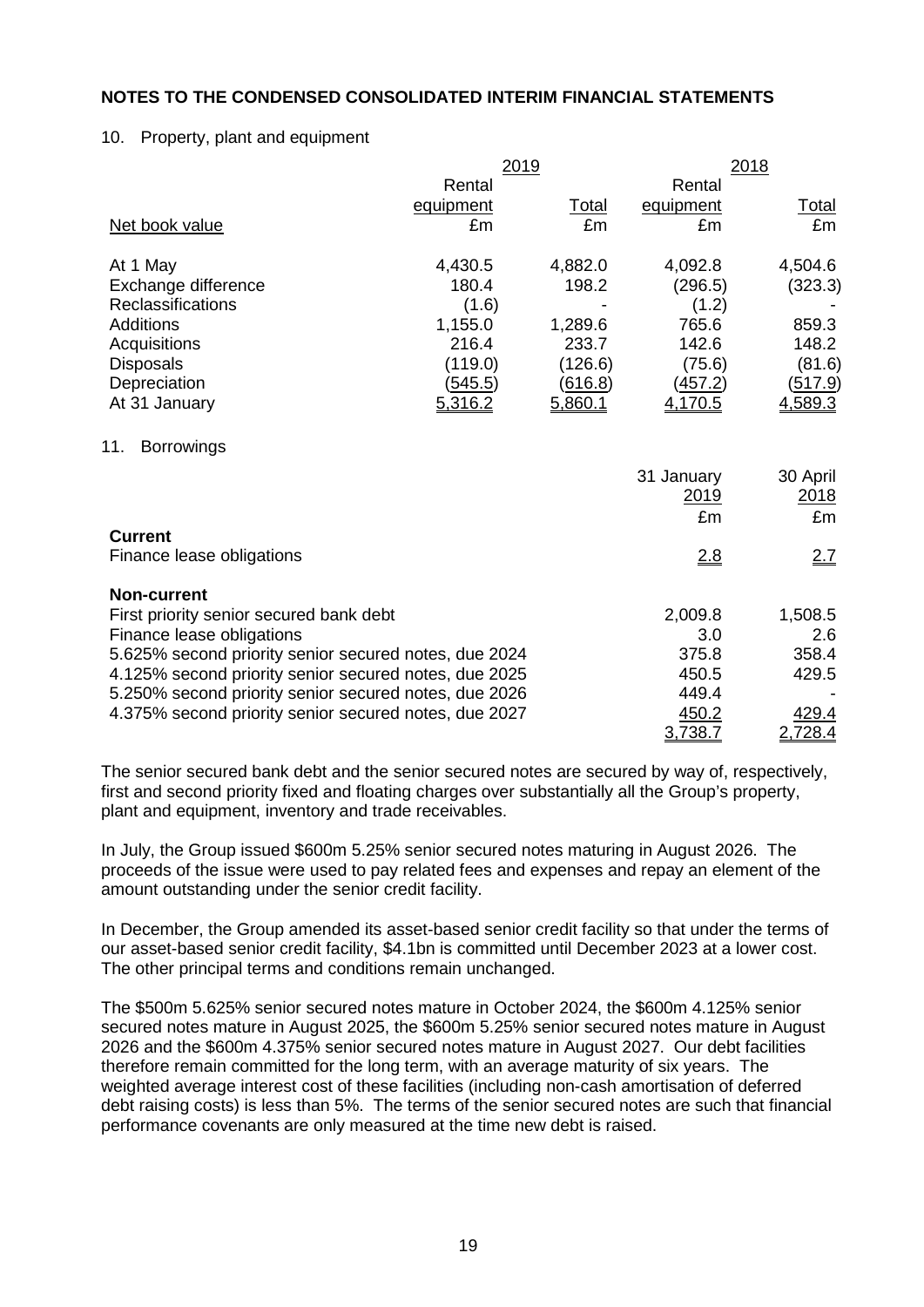#### 10. Property, plant and equipment

|                                                       | 2019      |         | 2018       |          |  |  |
|-------------------------------------------------------|-----------|---------|------------|----------|--|--|
|                                                       | Rental    |         | Rental     |          |  |  |
|                                                       | equipment | Total   | equipment  | Total    |  |  |
| Net book value                                        | £m        | £m      | £m         | £m       |  |  |
| At 1 May                                              | 4,430.5   | 4,882.0 | 4,092.8    | 4,504.6  |  |  |
| Exchange difference                                   | 180.4     | 198.2   | (296.5)    | (323.3)  |  |  |
| Reclassifications                                     | (1.6)     |         | (1.2)      |          |  |  |
| <b>Additions</b>                                      | 1,155.0   | 1,289.6 | 765.6      | 859.3    |  |  |
| Acquisitions                                          | 216.4     | 233.7   | 142.6      | 148.2    |  |  |
| <b>Disposals</b>                                      | (119.0)   | (126.6) | (75.6)     | (81.6)   |  |  |
| Depreciation                                          | (545.5)   | (616.8) | (457.2)    | (517.9)  |  |  |
| At 31 January                                         | 5,316.2   | 5,860.1 | 4,170.5    | 4,589.3  |  |  |
| 11.<br><b>Borrowings</b>                              |           |         |            |          |  |  |
|                                                       |           |         | 31 January | 30 April |  |  |
|                                                       |           |         | 2019       | 2018     |  |  |
|                                                       |           |         | £m         | £m       |  |  |
| <b>Current</b>                                        |           |         |            |          |  |  |
| Finance lease obligations                             |           |         | 2.8        | 2.7      |  |  |
| <b>Non-current</b>                                    |           |         |            |          |  |  |
| First priority senior secured bank debt               |           |         | 2,009.8    | 1,508.5  |  |  |
| Finance lease obligations                             |           |         | 3.0        | 2.6      |  |  |
| 5.625% second priority senior secured notes, due 2024 |           |         | 375.8      | 358.4    |  |  |
| 4.125% second priority senior secured notes, due 2025 |           |         | 450.5      | 429.5    |  |  |
| 5.250% second priority senior secured notes, due 2026 |           |         | 449.4      |          |  |  |
| 4.375% second priority senior secured notes, due 2027 |           |         | 450.2      | 429.4    |  |  |
|                                                       |           |         | 3,738.7    | 2,728.4  |  |  |

The senior secured bank debt and the senior secured notes are secured by way of, respectively, first and second priority fixed and floating charges over substantially all the Group's property, plant and equipment, inventory and trade receivables.

In July, the Group issued \$600m 5.25% senior secured notes maturing in August 2026. The proceeds of the issue were used to pay related fees and expenses and repay an element of the amount outstanding under the senior credit facility.

In December, the Group amended its asset-based senior credit facility so that under the terms of our asset-based senior credit facility, \$4.1bn is committed until December 2023 at a lower cost. The other principal terms and conditions remain unchanged.

The \$500m 5.625% senior secured notes mature in October 2024, the \$600m 4.125% senior secured notes mature in August 2025, the \$600m 5.25% senior secured notes mature in August 2026 and the \$600m 4.375% senior secured notes mature in August 2027. Our debt facilities therefore remain committed for the long term, with an average maturity of six years. The weighted average interest cost of these facilities (including non-cash amortisation of deferred debt raising costs) is less than 5%. The terms of the senior secured notes are such that financial performance covenants are only measured at the time new debt is raised.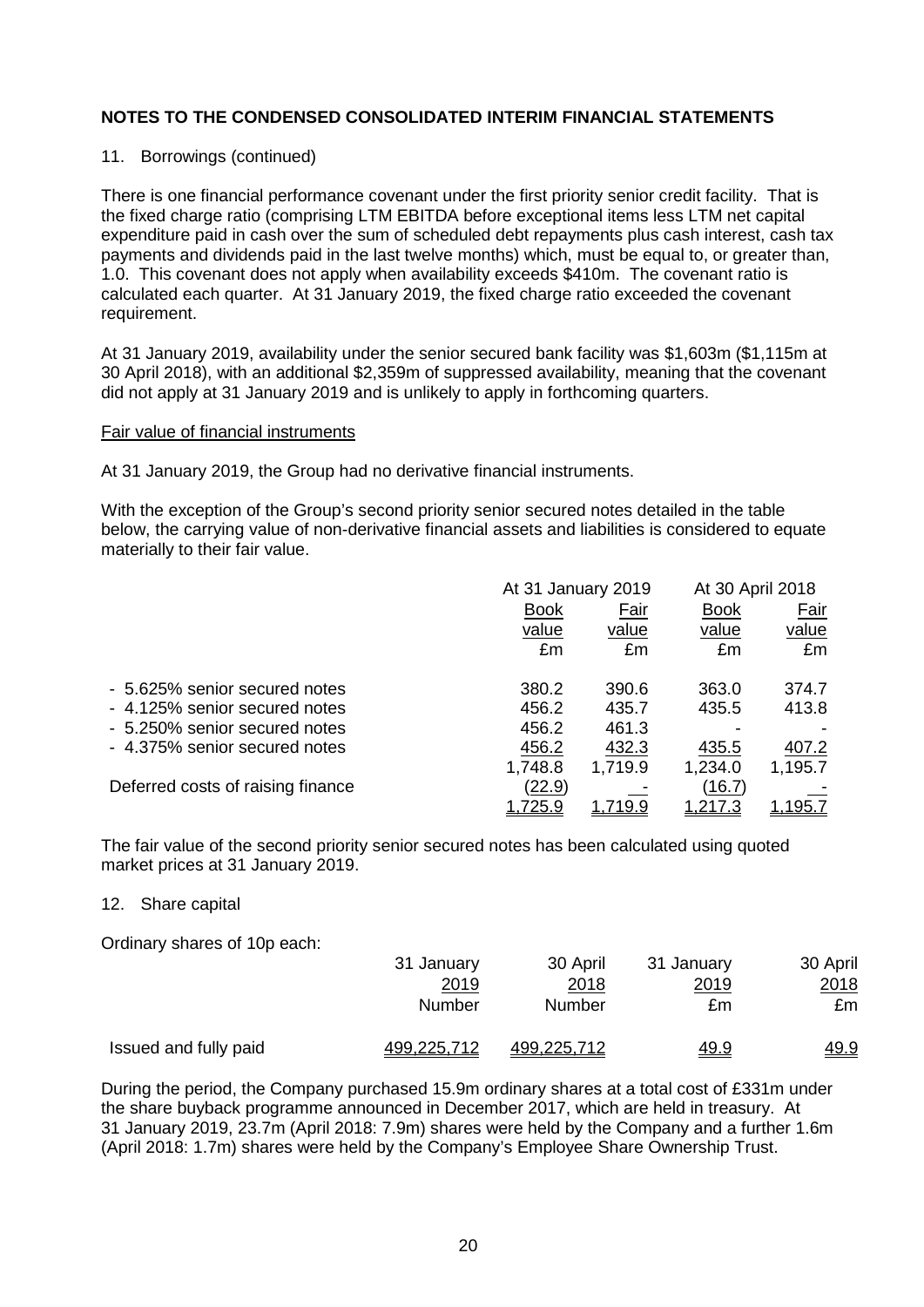### 11. Borrowings (continued)

There is one financial performance covenant under the first priority senior credit facility. That is the fixed charge ratio (comprising LTM EBITDA before exceptional items less LTM net capital expenditure paid in cash over the sum of scheduled debt repayments plus cash interest, cash tax payments and dividends paid in the last twelve months) which, must be equal to, or greater than, 1.0. This covenant does not apply when availability exceeds \$410m. The covenant ratio is calculated each quarter. At 31 January 2019, the fixed charge ratio exceeded the covenant requirement.

At 31 January 2019, availability under the senior secured bank facility was \$1,603m (\$1,115m at 30 April 2018), with an additional \$2,359m of suppressed availability, meaning that the covenant did not apply at 31 January 2019 and is unlikely to apply in forthcoming quarters.

#### Fair value of financial instruments

At 31 January 2019, the Group had no derivative financial instruments.

With the exception of the Group's second priority senior secured notes detailed in the table below, the carrying value of non-derivative financial assets and liabilities is considered to equate materially to their fair value.

|                                   |                | At 31 January 2019 |             | At 30 April 2018 |
|-----------------------------------|----------------|--------------------|-------------|------------------|
|                                   | <b>Book</b>    | Fair               | <b>Book</b> | Fair             |
|                                   | value          | value              | value       | value            |
|                                   | £m             | £m                 | £m          | £m               |
| - 5.625% senior secured notes     | 380.2          | 390.6              | 363.0       | 374.7            |
| - 4.125% senior secured notes     | 456.2          | 435.7              | 435.5       | 413.8            |
| - 5.250% senior secured notes     | 456.2          | 461.3              |             |                  |
| - 4.375% senior secured notes     | 456.2          | 432.3              | 435.5       | 407.2            |
|                                   | 1,748.8        | 1,719.9            | 1,234.0     | 1,195.7          |
| Deferred costs of raising finance | (22.9)         |                    | (16.7)      |                  |
|                                   | <u>1,725.9</u> | 19.9               |             | 1.195.           |

The fair value of the second priority senior secured notes has been calculated using quoted market prices at 31 January 2019.

#### 12. Share capital

Ordinary shares of 10p each:

|                       | 31 January    | 30 April           | 31 January   | 30 April    |
|-----------------------|---------------|--------------------|--------------|-------------|
|                       | 2019          | 2018               | <u> 2019</u> | 2018        |
|                       | <b>Number</b> | Number             | £m           | £m          |
| Issued and fully paid | 499,225,712   | <u>499,225,712</u> | <u>49.9</u>  | <u>49.9</u> |

During the period, the Company purchased 15.9m ordinary shares at a total cost of £331m under the share buyback programme announced in December 2017, which are held in treasury. At 31 January 2019, 23.7m (April 2018: 7.9m) shares were held by the Company and a further 1.6m (April 2018: 1.7m) shares were held by the Company's Employee Share Ownership Trust.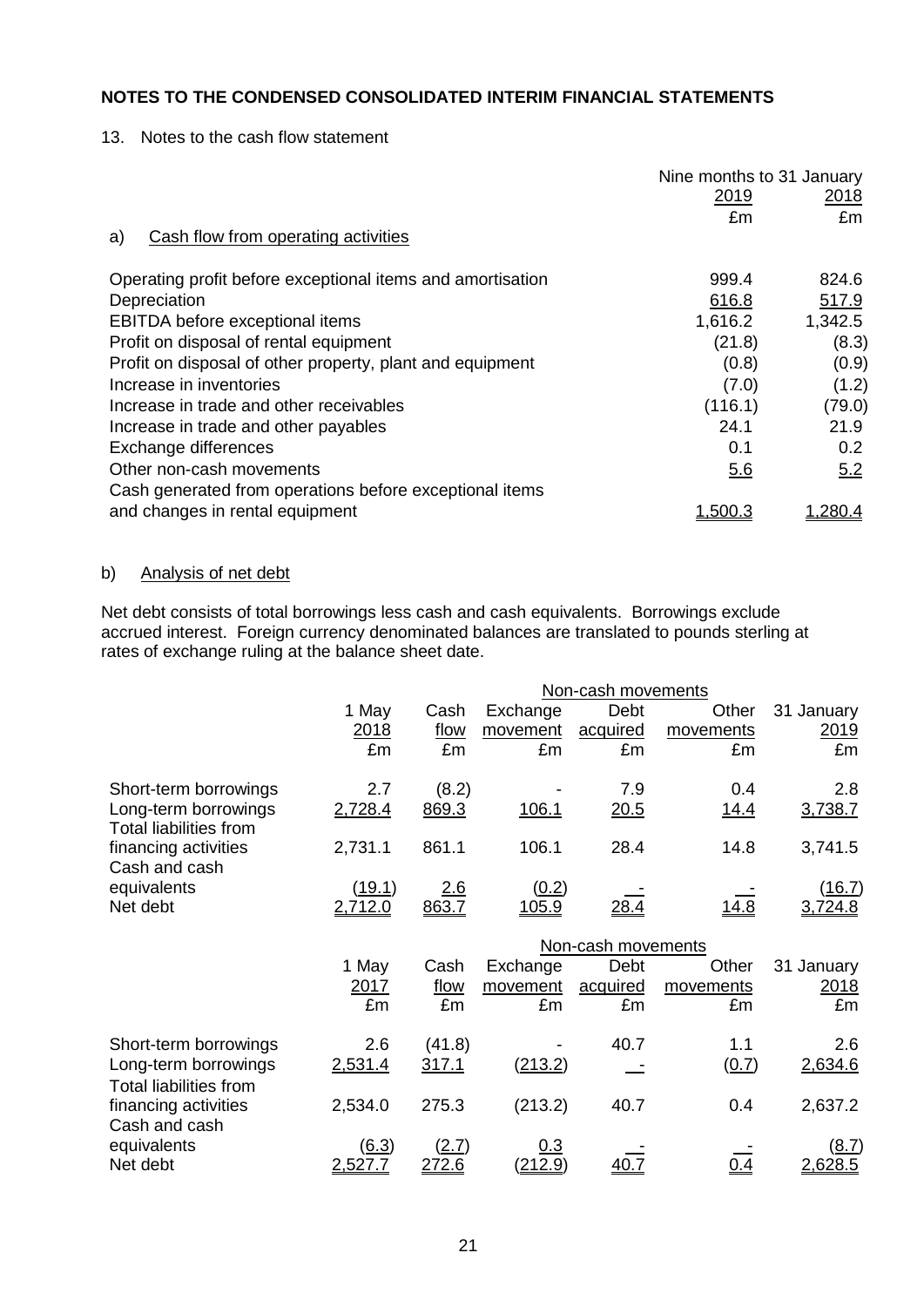13. Notes to the cash flow statement

|                                                            | Nine months to 31 January |               |
|------------------------------------------------------------|---------------------------|---------------|
|                                                            | <u>2019</u>               | <u> 2018 </u> |
|                                                            | £m                        | £m            |
| Cash flow from operating activities<br>a)                  |                           |               |
| Operating profit before exceptional items and amortisation | 999.4                     | 824.6         |
| Depreciation                                               | 616.8                     | 517.9         |
| EBITDA before exceptional items                            | 1,616.2                   | 1,342.5       |
| Profit on disposal of rental equipment                     | (21.8)                    | (8.3)         |
| Profit on disposal of other property, plant and equipment  | (0.8)                     | (0.9)         |
| Increase in inventories                                    | (7.0)                     | (1.2)         |
| Increase in trade and other receivables                    | (116.1)                   | (79.0)        |
| Increase in trade and other payables                       | 24.1                      | 21.9          |
| Exchange differences                                       | 0.1                       | 0.2           |
| Other non-cash movements                                   | 5.6                       | 5.2           |
| Cash generated from operations before exceptional items    |                           |               |
| and changes in rental equipment                            | 1. <u>500.3</u>           | 280.4         |

# b) Analysis of net debt

Net debt consists of total borrowings less cash and cash equivalents. Borrowings exclude accrued interest. Foreign currency denominated balances are translated to pounds sterling at rates of exchange ruling at the balance sheet date.

|                                                       | Non-cash movements |            |                |                    |           |               |
|-------------------------------------------------------|--------------------|------------|----------------|--------------------|-----------|---------------|
|                                                       | 1 May              | Cash       | Exchange       | Debt               | Other     | 31 January    |
|                                                       | 2018               | flow       | movement       | acquired           | movements | 2019          |
|                                                       | £m                 | £m         | £m             | £m                 | £m        | £m            |
| Short-term borrowings                                 | 2.7                | (8.2)      |                | 7.9                | 0.4       | 2.8           |
| Long-term borrowings<br><b>Total liabilities from</b> | 2,728.4            | 869.3      | 106.1          | 20.5               | 14.4      | 3,738.7       |
| financing activities<br>Cash and cash                 | 2,731.1            | 861.1      | 106.1          | 28.4               | 14.8      | 3,741.5       |
| equivalents                                           | <u>(19.1)</u>      | <u>2.6</u> | (0.2)          |                    |           | <u>(16.7)</u> |
| Net debt                                              | 2,712.0            | 863.7      | 105.9          | <u>28.4</u>        | 14.8      | 3,724.8       |
|                                                       |                    |            |                | Non-cash movements |           |               |
|                                                       | 1 May              | Cash       | Exchange       | Debt               | Other     | 31 January    |
|                                                       | 2017               | flow       | movement       | acquired           | movements | 2018          |
|                                                       | £m                 | £m         | £m             | £m                 | £m        | £m            |
| Short-term borrowings                                 | 2.6                | (41.8)     |                | 40.7               | 1.1       | 2.6           |
| Long-term borrowings<br><b>Total liabilities from</b> | 2,531.4            | 317.1      | <u>(213.2)</u> |                    | (0.7)     | 2,634.6       |
| financing activities<br>Cash and cash                 | 2,534.0            | 275.3      | (213.2)        | 40.7               | 0.4       | 2,637.2       |
| equivalents                                           | (6.3)              | (2.7)      | 0.3            |                    |           | <u>(8.7)</u>  |
| Net debt                                              | 2,527.7            | 272.6      | (212.9)        | <u>40.7</u>        | 0.4       | 2,628.5       |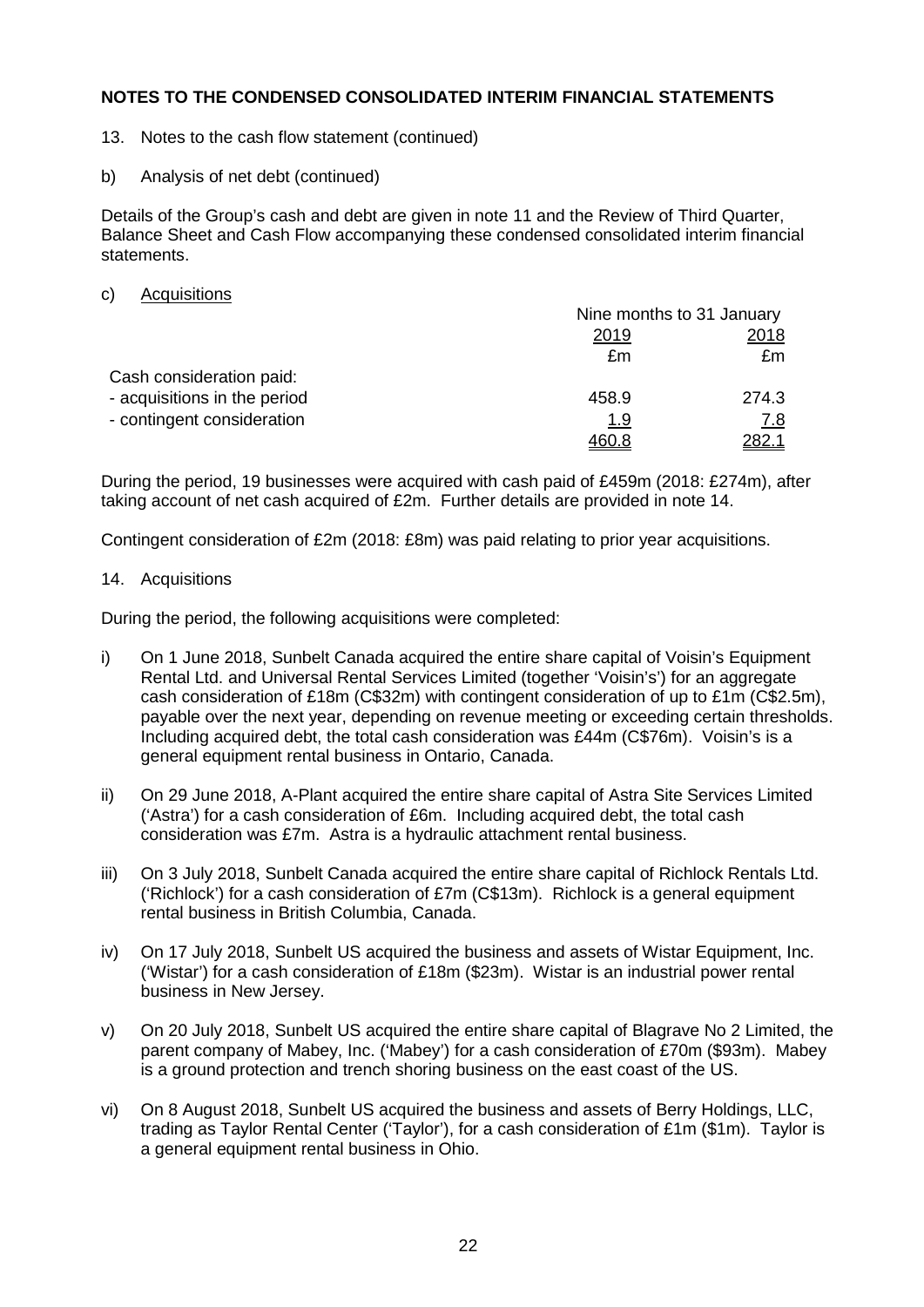- 13. Notes to the cash flow statement (continued)
- b) Analysis of net debt (continued)

Details of the Group's cash and debt are given in note 11 and the Review of Third Quarter, Balance Sheet and Cash Flow accompanying these condensed consolidated interim financial statements.

c) Acquisitions

|                              |       | Nine months to 31 January |  |  |
|------------------------------|-------|---------------------------|--|--|
|                              | 2019  | 2018                      |  |  |
|                              | £m    | £m                        |  |  |
| Cash consideration paid:     |       |                           |  |  |
| - acquisitions in the period | 458.9 | 274.3                     |  |  |
| - contingent consideration   | 1.9   | 7.8                       |  |  |
|                              | 460.8 | <u>282.1</u>              |  |  |

During the period, 19 businesses were acquired with cash paid of £459m (2018: £274m), after taking account of net cash acquired of £2m. Further details are provided in note 14.

Contingent consideration of £2m (2018: £8m) was paid relating to prior year acquisitions.

### 14. Acquisitions

During the period, the following acquisitions were completed:

- i) On 1 June 2018, Sunbelt Canada acquired the entire share capital of Voisin's Equipment Rental Ltd. and Universal Rental Services Limited (together 'Voisin's') for an aggregate cash consideration of £18m (C\$32m) with contingent consideration of up to £1m (C\$2.5m), payable over the next year, depending on revenue meeting or exceeding certain thresholds. Including acquired debt, the total cash consideration was £44m (C\$76m). Voisin's is a general equipment rental business in Ontario, Canada.
- ii) On 29 June 2018, A-Plant acquired the entire share capital of Astra Site Services Limited ('Astra') for a cash consideration of £6m. Including acquired debt, the total cash consideration was £7m. Astra is a hydraulic attachment rental business.
- iii) On 3 July 2018, Sunbelt Canada acquired the entire share capital of Richlock Rentals Ltd. ('Richlock') for a cash consideration of £7m (C\$13m). Richlock is a general equipment rental business in British Columbia, Canada.
- iv) On 17 July 2018, Sunbelt US acquired the business and assets of Wistar Equipment, Inc. ('Wistar') for a cash consideration of £18m (\$23m). Wistar is an industrial power rental business in New Jersey.
- v) On 20 July 2018, Sunbelt US acquired the entire share capital of Blagrave No 2 Limited, the parent company of Mabey, Inc. ('Mabey') for a cash consideration of £70m (\$93m). Mabey is a ground protection and trench shoring business on the east coast of the US.
- vi) On 8 August 2018, Sunbelt US acquired the business and assets of Berry Holdings, LLC, trading as Taylor Rental Center ('Taylor'), for a cash consideration of £1m (\$1m). Taylor is a general equipment rental business in Ohio.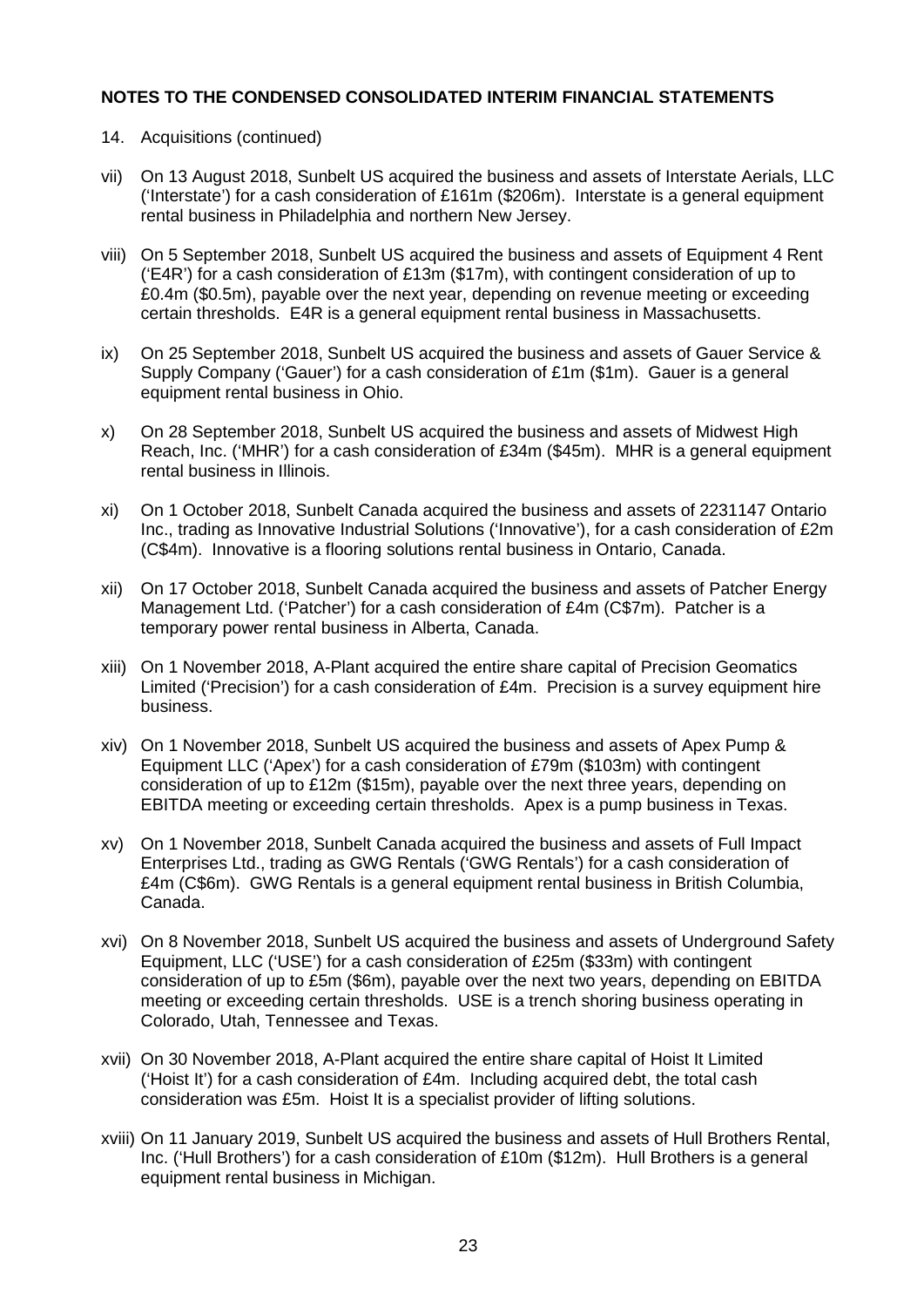- 14. Acquisitions (continued)
- vii) On 13 August 2018, Sunbelt US acquired the business and assets of Interstate Aerials, LLC ('Interstate') for a cash consideration of £161m (\$206m). Interstate is a general equipment rental business in Philadelphia and northern New Jersey.
- viii) On 5 September 2018, Sunbelt US acquired the business and assets of Equipment 4 Rent ('E4R') for a cash consideration of £13m (\$17m), with contingent consideration of up to £0.4m (\$0.5m), payable over the next year, depending on revenue meeting or exceeding certain thresholds. E4R is a general equipment rental business in Massachusetts.
- ix) On 25 September 2018, Sunbelt US acquired the business and assets of Gauer Service & Supply Company ('Gauer') for a cash consideration of £1m (\$1m). Gauer is a general equipment rental business in Ohio.
- x) On 28 September 2018, Sunbelt US acquired the business and assets of Midwest High Reach, Inc. ('MHR') for a cash consideration of £34m (\$45m). MHR is a general equipment rental business in Illinois.
- xi) On 1 October 2018, Sunbelt Canada acquired the business and assets of 2231147 Ontario Inc., trading as Innovative Industrial Solutions ('Innovative'), for a cash consideration of £2m (C\$4m). Innovative is a flooring solutions rental business in Ontario, Canada.
- xii) On 17 October 2018, Sunbelt Canada acquired the business and assets of Patcher Energy Management Ltd. ('Patcher') for a cash consideration of £4m (C\$7m). Patcher is a temporary power rental business in Alberta, Canada.
- xiii) On 1 November 2018, A-Plant acquired the entire share capital of Precision Geomatics Limited ('Precision') for a cash consideration of £4m. Precision is a survey equipment hire business.
- xiv) On 1 November 2018, Sunbelt US acquired the business and assets of Apex Pump & Equipment LLC ('Apex') for a cash consideration of £79m (\$103m) with contingent consideration of up to £12m (\$15m), payable over the next three years, depending on EBITDA meeting or exceeding certain thresholds. Apex is a pump business in Texas.
- xv) On 1 November 2018, Sunbelt Canada acquired the business and assets of Full Impact Enterprises Ltd., trading as GWG Rentals ('GWG Rentals') for a cash consideration of £4m (C\$6m). GWG Rentals is a general equipment rental business in British Columbia, Canada.
- xvi) On 8 November 2018, Sunbelt US acquired the business and assets of Underground Safety Equipment, LLC ('USE') for a cash consideration of £25m (\$33m) with contingent consideration of up to £5m (\$6m), payable over the next two years, depending on EBITDA meeting or exceeding certain thresholds. USE is a trench shoring business operating in Colorado, Utah, Tennessee and Texas.
- xvii) On 30 November 2018, A-Plant acquired the entire share capital of Hoist It Limited ('Hoist It') for a cash consideration of £4m. Including acquired debt, the total cash consideration was £5m. Hoist It is a specialist provider of lifting solutions.
- xviii) On 11 January 2019, Sunbelt US acquired the business and assets of Hull Brothers Rental, Inc. ('Hull Brothers') for a cash consideration of £10m (\$12m). Hull Brothers is a general equipment rental business in Michigan.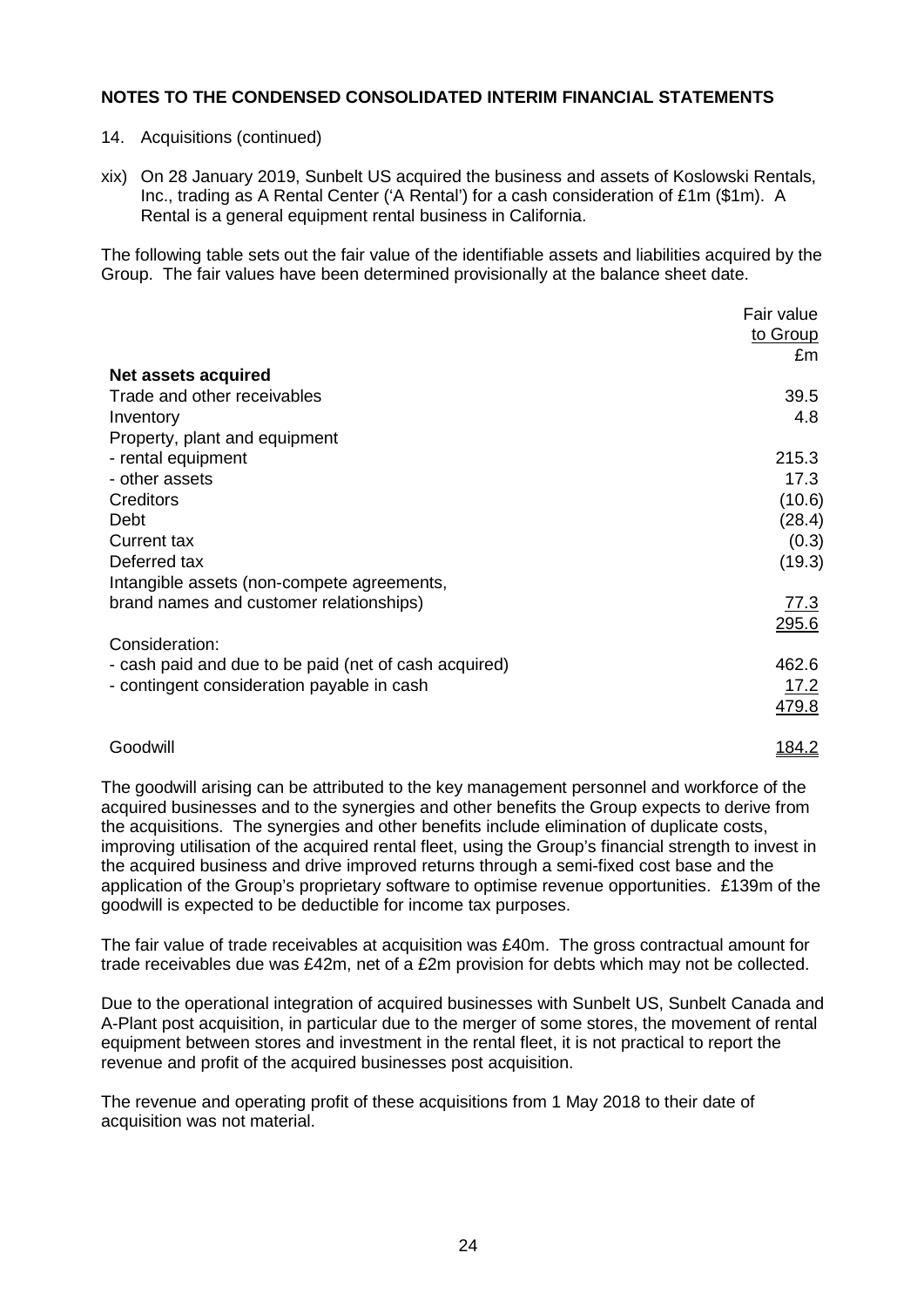- 14. Acquisitions (continued)
- xix) On 28 January 2019, Sunbelt US acquired the business and assets of Koslowski Rentals, Inc., trading as A Rental Center ('A Rental') for a cash consideration of £1m (\$1m). A Rental is a general equipment rental business in California.

The following table sets out the fair value of the identifiable assets and liabilities acquired by the Group. The fair values have been determined provisionally at the balance sheet date.

|                                                       | Fair value |
|-------------------------------------------------------|------------|
|                                                       | to Group   |
|                                                       | £m         |
| Net assets acquired                                   |            |
| Trade and other receivables                           | 39.5       |
| Inventory                                             | 4.8        |
| Property, plant and equipment                         |            |
| - rental equipment                                    | 215.3      |
| - other assets                                        | 17.3       |
| Creditors                                             | (10.6)     |
| Debt                                                  | (28.4)     |
| <b>Current tax</b>                                    | (0.3)      |
| Deferred tax                                          | (19.3)     |
| Intangible assets (non-compete agreements,            |            |
| brand names and customer relationships)               | 77.3       |
|                                                       | 295.6      |
| Consideration:                                        |            |
| - cash paid and due to be paid (net of cash acquired) | 462.6      |
| - contingent consideration payable in cash            | 17.2       |
|                                                       | 479.8      |
|                                                       |            |

# Goodwill and the control of the control of the control of the control of the control of the control of the control of the control of the control of the control of the control of the control of the control of the control of

The goodwill arising can be attributed to the key management personnel and workforce of the acquired businesses and to the synergies and other benefits the Group expects to derive from the acquisitions. The synergies and other benefits include elimination of duplicate costs, improving utilisation of the acquired rental fleet, using the Group's financial strength to invest in the acquired business and drive improved returns through a semi-fixed cost base and the application of the Group's proprietary software to optimise revenue opportunities. £139m of the goodwill is expected to be deductible for income tax purposes.

The fair value of trade receivables at acquisition was £40m. The gross contractual amount for trade receivables due was £42m, net of a £2m provision for debts which may not be collected.

Due to the operational integration of acquired businesses with Sunbelt US, Sunbelt Canada and A-Plant post acquisition, in particular due to the merger of some stores, the movement of rental equipment between stores and investment in the rental fleet, it is not practical to report the revenue and profit of the acquired businesses post acquisition.

The revenue and operating profit of these acquisitions from 1 May 2018 to their date of acquisition was not material.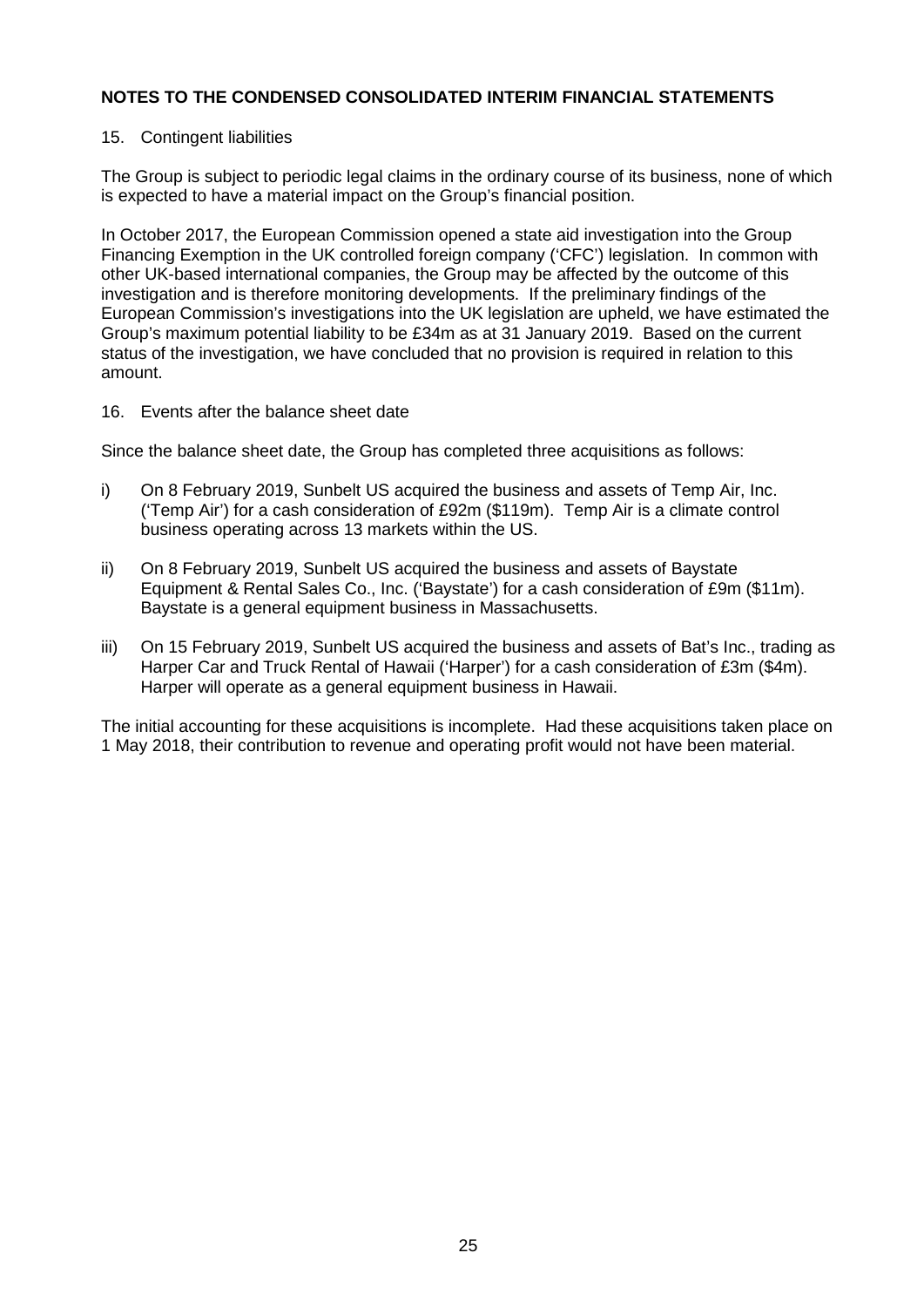### 15. Contingent liabilities

The Group is subject to periodic legal claims in the ordinary course of its business, none of which is expected to have a material impact on the Group's financial position.

In October 2017, the European Commission opened a state aid investigation into the Group Financing Exemption in the UK controlled foreign company ('CFC') legislation. In common with other UK-based international companies, the Group may be affected by the outcome of this investigation and is therefore monitoring developments. If the preliminary findings of the European Commission's investigations into the UK legislation are upheld, we have estimated the Group's maximum potential liability to be £34m as at 31 January 2019. Based on the current status of the investigation, we have concluded that no provision is required in relation to this amount.

16. Events after the balance sheet date

Since the balance sheet date, the Group has completed three acquisitions as follows:

- i) On 8 February 2019, Sunbelt US acquired the business and assets of Temp Air, Inc. ('Temp Air') for a cash consideration of £92m (\$119m). Temp Air is a climate control business operating across 13 markets within the US.
- ii) On 8 February 2019, Sunbelt US acquired the business and assets of Baystate Equipment & Rental Sales Co., Inc. ('Baystate') for a cash consideration of £9m (\$11m). Baystate is a general equipment business in Massachusetts.
- iii) On 15 February 2019, Sunbelt US acquired the business and assets of Bat's Inc., trading as Harper Car and Truck Rental of Hawaii ('Harper') for a cash consideration of £3m (\$4m). Harper will operate as a general equipment business in Hawaii.

The initial accounting for these acquisitions is incomplete. Had these acquisitions taken place on 1 May 2018, their contribution to revenue and operating profit would not have been material.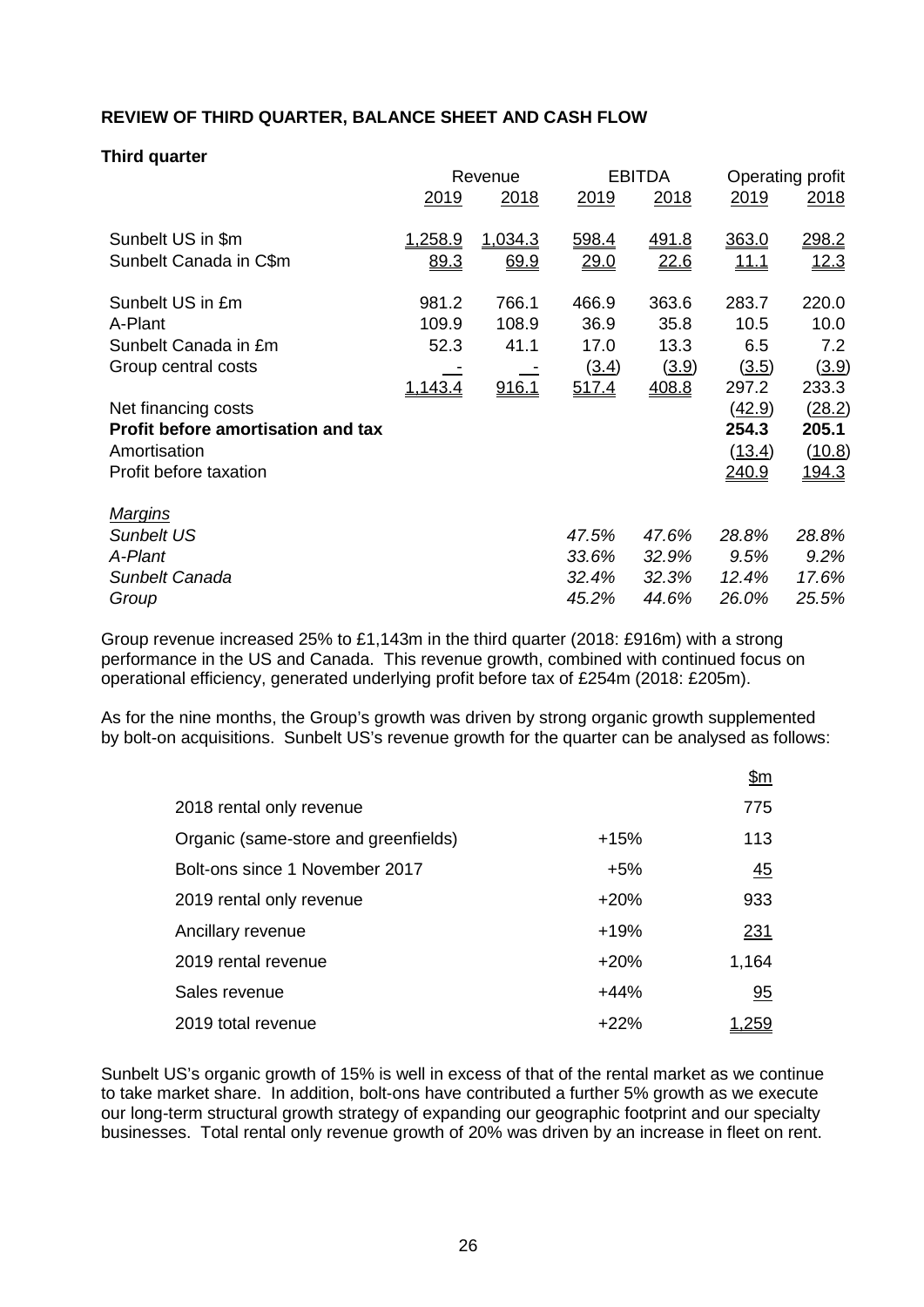# **REVIEW OF THIRD QUARTER, BALANCE SHEET AND CASH FLOW**

### **Third quarter**

|                                           |                | Revenue     |             | <b>EBITDA</b> | Operating profit |             |
|-------------------------------------------|----------------|-------------|-------------|---------------|------------------|-------------|
|                                           | <u>2019</u>    | <u>2018</u> | <u>2019</u> | 2018          | <u>2019</u>      | <u>2018</u> |
| Sunbelt US in \$m                         | <u>1,258.9</u> | 1,034.3     | 598.4       | <u>491.8</u>  | 363.0            | 298.2       |
| Sunbelt Canada in C\$m                    | 89.3           | 69.9        | 29.0        | 22.6          | <u> 11.1</u>     | 12.3        |
| Sunbelt US in £m                          | 981.2          | 766.1       | 466.9       | 363.6         | 283.7            | 220.0       |
| A-Plant                                   | 109.9          | 108.9       | 36.9        | 35.8          | 10.5             | 10.0        |
| Sunbelt Canada in £m                      | 52.3           | 41.1        | 17.0        | 13.3          | 6.5              | 7.2         |
| Group central costs                       |                |             | (3.4)       | (3.9)         | (3.5)            | (3.9)       |
|                                           | <u>1,143.4</u> | 916.1       | 517.4       | 408.8         | 297.2            | 233.3       |
| Net financing costs                       |                |             |             |               | (42.9)           | (28.2)      |
| <b>Profit before amortisation and tax</b> |                |             |             |               | 254.3            | 205.1       |
| Amortisation                              |                |             |             |               | (13.4)           | (10.8)      |
| Profit before taxation                    |                |             |             |               | <u> 240.9</u>    | 194.3       |
| <b>Margins</b>                            |                |             |             |               |                  |             |
| <b>Sunbelt US</b>                         |                |             | 47.5%       | 47.6%         | 28.8%            | 28.8%       |
| A-Plant                                   |                |             | 33.6%       | 32.9%         | 9.5%             | 9.2%        |
| Sunbelt Canada                            |                |             | 32.4%       | 32.3%         | 12.4%            | 17.6%       |
| Group                                     |                |             | 45.2%       | 44.6%         | 26.0%            | 25.5%       |

Group revenue increased 25% to £1,143m in the third quarter (2018: £916m) with a strong performance in the US and Canada. This revenue growth, combined with continued focus on operational efficiency, generated underlying profit before tax of £254m (2018: £205m).

As for the nine months, the Group's growth was driven by strong organic growth supplemented by bolt-on acquisitions. Sunbelt US's revenue growth for the quarter can be analysed as follows:

|                                      |        | <u>\$m</u>       |
|--------------------------------------|--------|------------------|
| 2018 rental only revenue             |        | 775              |
| Organic (same-store and greenfields) | $+15%$ | 113              |
| Bolt-ons since 1 November 2017       | $+5%$  | $\underline{45}$ |
| 2019 rental only revenue             | $+20%$ | 933              |
| Ancillary revenue                    | $+19%$ | 231              |
| 2019 rental revenue                  | $+20%$ | 1,164            |
| Sales revenue                        | $+44%$ | 95               |
| 2019 total revenue                   | $+22%$ | <u>259, ا</u>    |

Sunbelt US's organic growth of 15% is well in excess of that of the rental market as we continue to take market share. In addition, bolt-ons have contributed a further 5% growth as we execute our long-term structural growth strategy of expanding our geographic footprint and our specialty businesses. Total rental only revenue growth of 20% was driven by an increase in fleet on rent.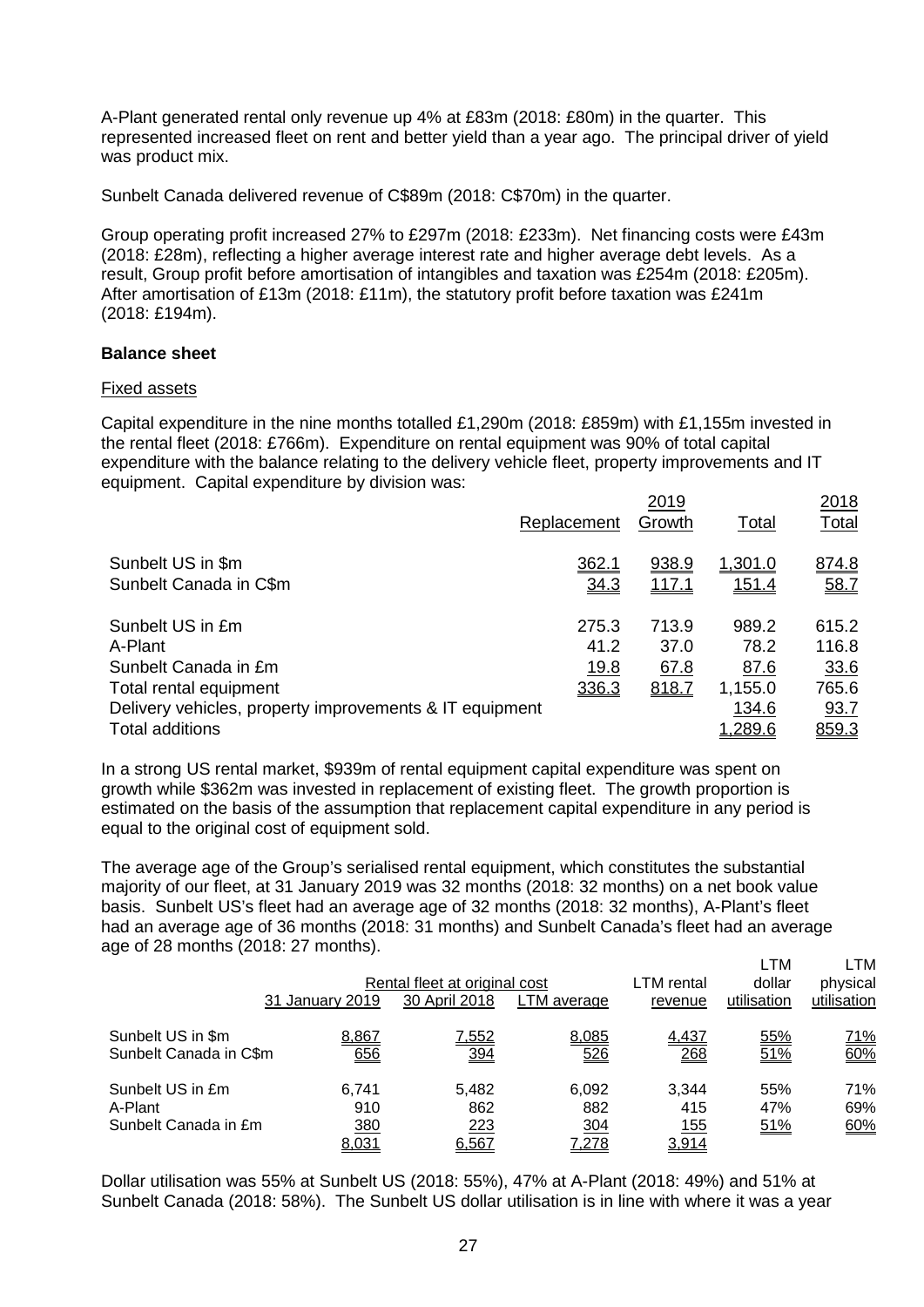A-Plant generated rental only revenue up 4% at £83m (2018: £80m) in the quarter. This represented increased fleet on rent and better yield than a year ago. The principal driver of yield was product mix.

Sunbelt Canada delivered revenue of C\$89m (2018: C\$70m) in the quarter.

Group operating profit increased 27% to £297m (2018: £233m). Net financing costs were £43m (2018: £28m), reflecting a higher average interest rate and higher average debt levels. As a result, Group profit before amortisation of intangibles and taxation was £254m (2018: £205m). After amortisation of £13m (2018: £11m), the statutory profit before taxation was £241m (2018: £194m).

### **Balance sheet**

### Fixed assets

Capital expenditure in the nine months totalled £1,290m (2018: £859m) with £1,155m invested in the rental fleet (2018: £766m). Expenditure on rental equipment was 90% of total capital expenditure with the balance relating to the delivery vehicle fleet, property improvements and IT equipment. Capital expenditure by division was:

|                                                         | Replacement | 2019<br>Growth | Total        | 2018<br><b>Total</b> |
|---------------------------------------------------------|-------------|----------------|--------------|----------------------|
| Sunbelt US in \$m<br>Sunbelt Canada in C\$m             | 362.1       | 938.9          | 1,301.0      | 874.8                |
|                                                         | 34.3        | <u>117.1</u>   | <u>151.4</u> | 58.Z                 |
| Sunbelt US in £m                                        | 275.3       | 713.9          | 989.2        | 615.2                |
| A-Plant                                                 | 41.2        | 37.0           | 78.2         | 116.8                |
| Sunbelt Canada in £m                                    | <u>19.8</u> | 67.8           | 87.6         | 33.6                 |
| Total rental equipment                                  | 336.3       | 818.7          | 1,155.0      | 765.6                |
| Delivery vehicles, property improvements & IT equipment |             |                | 134.6        | 93.7                 |
| <b>Total additions</b>                                  |             |                | 1,289.6      | <u>859.3</u>         |

In a strong US rental market, \$939m of rental equipment capital expenditure was spent on growth while \$362m was invested in replacement of existing fleet. The growth proportion is estimated on the basis of the assumption that replacement capital expenditure in any period is equal to the original cost of equipment sold.

The average age of the Group's serialised rental equipment, which constitutes the substantial majority of our fleet, at 31 January 2019 was 32 months (2018: 32 months) on a net book value basis. Sunbelt US's fleet had an average age of 32 months (2018: 32 months), A-Plant's fleet had an average age of 36 months (2018: 31 months) and Sunbelt Canada's fleet had an average age of 28 months (2018: 27 months).

|                                             |                 | Rental fleet at original cost |              | LTM rental          | LTM<br>dollar | _TM<br>physical   |
|---------------------------------------------|-----------------|-------------------------------|--------------|---------------------|---------------|-------------------|
|                                             | 31 January 2019 | 30 April 2018                 | LTM average  | revenue             | utilisation   | utilisation       |
| Sunbelt US in \$m<br>Sunbelt Canada in C\$m | 8,867<br>656    | 7,552<br><u>394</u>           | 8,085<br>526 | 4,437<br>268        | 55%<br>51%    | <u>71%</u><br>60% |
| Sunbelt US in £m<br>A-Plant                 | 6.741<br>910    | 5.482<br>862                  | 6,092<br>882 | 3.344<br>415        | 55%<br>47%    | 71%<br>69%        |
| Sunbelt Canada in £m                        | 380<br>8,031    | 223<br>6,567                  | 304<br>7,278 | <u>155</u><br>3,914 | 51%           | 60%               |

Dollar utilisation was 55% at Sunbelt US (2018: 55%), 47% at A-Plant (2018: 49%) and 51% at Sunbelt Canada (2018: 58%). The Sunbelt US dollar utilisation is in line with where it was a year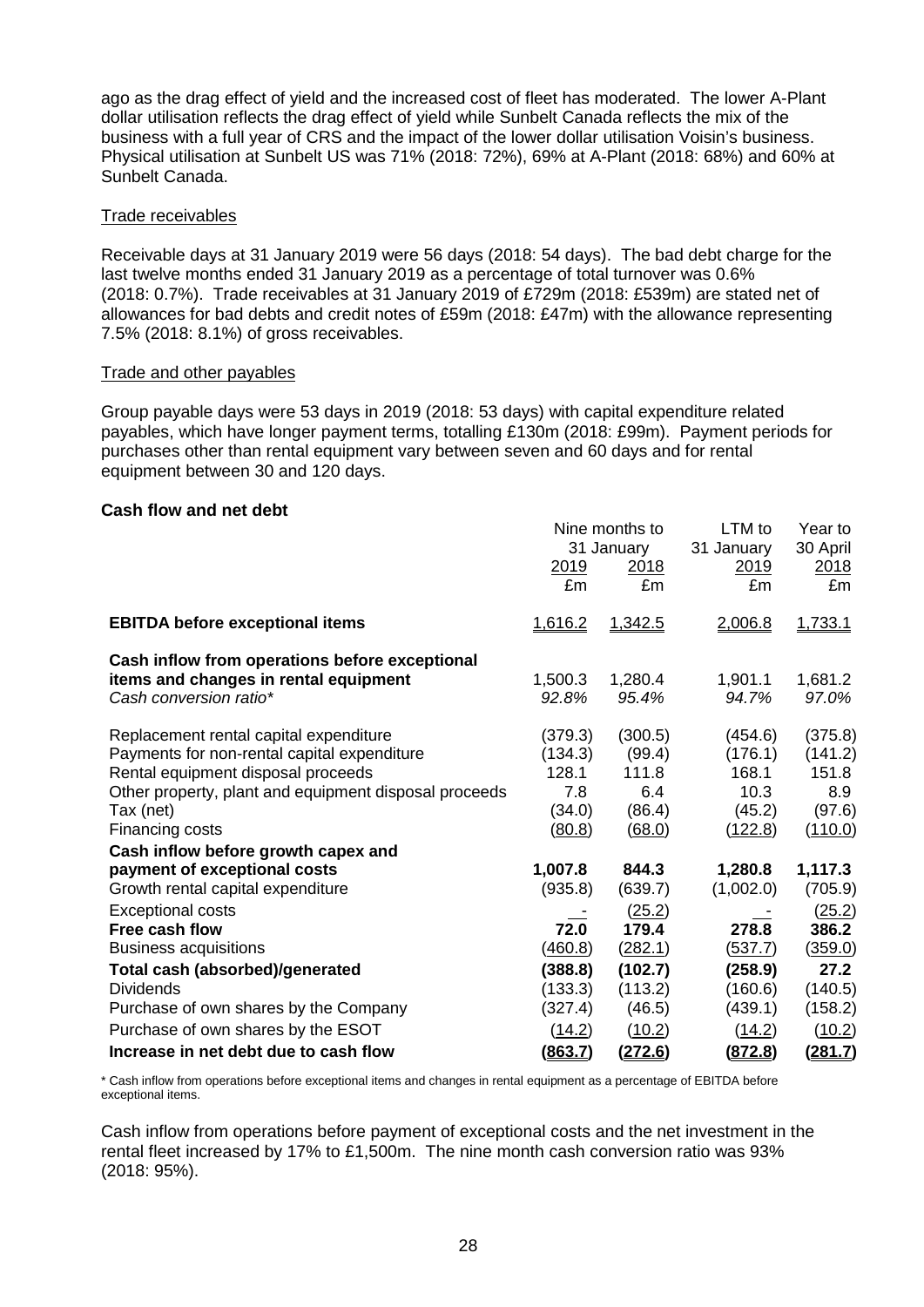ago as the drag effect of yield and the increased cost of fleet has moderated. The lower A-Plant dollar utilisation reflects the drag effect of yield while Sunbelt Canada reflects the mix of the business with a full year of CRS and the impact of the lower dollar utilisation Voisin's business. Physical utilisation at Sunbelt US was 71% (2018: 72%), 69% at A-Plant (2018: 68%) and 60% at Sunbelt Canada.

### Trade receivables

Receivable days at 31 January 2019 were 56 days (2018: 54 days). The bad debt charge for the last twelve months ended 31 January 2019 as a percentage of total turnover was 0.6% (2018: 0.7%). Trade receivables at 31 January 2019 of £729m (2018: £539m) are stated net of allowances for bad debts and credit notes of £59m (2018: £47m) with the allowance representing 7.5% (2018: 8.1%) of gross receivables.

### Trade and other payables

Group payable days were 53 days in 2019 (2018: 53 days) with capital expenditure related payables, which have longer payment terms, totalling £130m (2018: £99m). Payment periods for purchases other than rental equipment vary between seven and 60 days and for rental equipment between 30 and 120 days.

### **Cash flow and net debt**

|                                                                                                                                                                                                                      | 2019<br>£m                                             | Nine months to<br>31 January<br><u>2018</u><br>£m     | LTM to<br>31 January<br><u>2019</u><br>£m                | Year to<br>30 April<br><u>2018</u><br>£m                |
|----------------------------------------------------------------------------------------------------------------------------------------------------------------------------------------------------------------------|--------------------------------------------------------|-------------------------------------------------------|----------------------------------------------------------|---------------------------------------------------------|
| <b>EBITDA before exceptional items</b>                                                                                                                                                                               | 1,616.2                                                | 1,342.5                                               | 2,006.8                                                  | 1,733.1                                                 |
| Cash inflow from operations before exceptional<br>items and changes in rental equipment<br>Cash conversion ratio*                                                                                                    | 1,500.3<br>92.8%                                       | 1,280.4<br>95.4%                                      | 1,901.1<br>94.7%                                         | 1,681.2<br>97.0%                                        |
| Replacement rental capital expenditure<br>Payments for non-rental capital expenditure<br>Rental equipment disposal proceeds<br>Other property, plant and equipment disposal proceeds<br>Tax (net)<br>Financing costs | (379.3)<br>(134.3)<br>128.1<br>7.8<br>(34.0)<br>(80.8) | (300.5)<br>(99.4)<br>111.8<br>6.4<br>(86.4)<br>(68.0) | (454.6)<br>(176.1)<br>168.1<br>10.3<br>(45.2)<br>(122.8) | (375.8)<br>(141.2)<br>151.8<br>8.9<br>(97.6)<br>(110.0) |
| Cash inflow before growth capex and                                                                                                                                                                                  |                                                        |                                                       |                                                          |                                                         |
| payment of exceptional costs<br>Growth rental capital expenditure                                                                                                                                                    | 1,007.8<br>(935.8)                                     | 844.3<br>(639.7)                                      | 1,280.8<br>(1,002.0)                                     | 1,117.3<br>(705.9)                                      |
| <b>Exceptional costs</b><br>Free cash flow<br><b>Business acquisitions</b>                                                                                                                                           | 72.0<br>(460.8)                                        | (25.2)<br>179.4<br>(282.1)                            | 278.8<br>(537.7)                                         | (25.2)<br>386.2<br>(359.0)                              |
| <b>Total cash (absorbed)/generated</b>                                                                                                                                                                               | (388.8)                                                | (102.7)                                               | (258.9)                                                  | 27.2                                                    |
| <b>Dividends</b>                                                                                                                                                                                                     | (133.3)                                                | (113.2)                                               | (160.6)                                                  | (140.5)                                                 |
| Purchase of own shares by the Company                                                                                                                                                                                | (327.4)                                                | (46.5)                                                | (439.1)                                                  | (158.2)                                                 |
| Purchase of own shares by the ESOT                                                                                                                                                                                   | (14.2)                                                 | (10.2)                                                | (14.2)                                                   | (10.2)                                                  |
| Increase in net debt due to cash flow                                                                                                                                                                                | (863.7)                                                | <u>(272.6)</u>                                        | (872.8)                                                  | <u>(281.7)</u>                                          |

\* Cash inflow from operations before exceptional items and changes in rental equipment as a percentage of EBITDA before exceptional items.

Cash inflow from operations before payment of exceptional costs and the net investment in the rental fleet increased by 17% to £1,500m. The nine month cash conversion ratio was 93% (2018: 95%).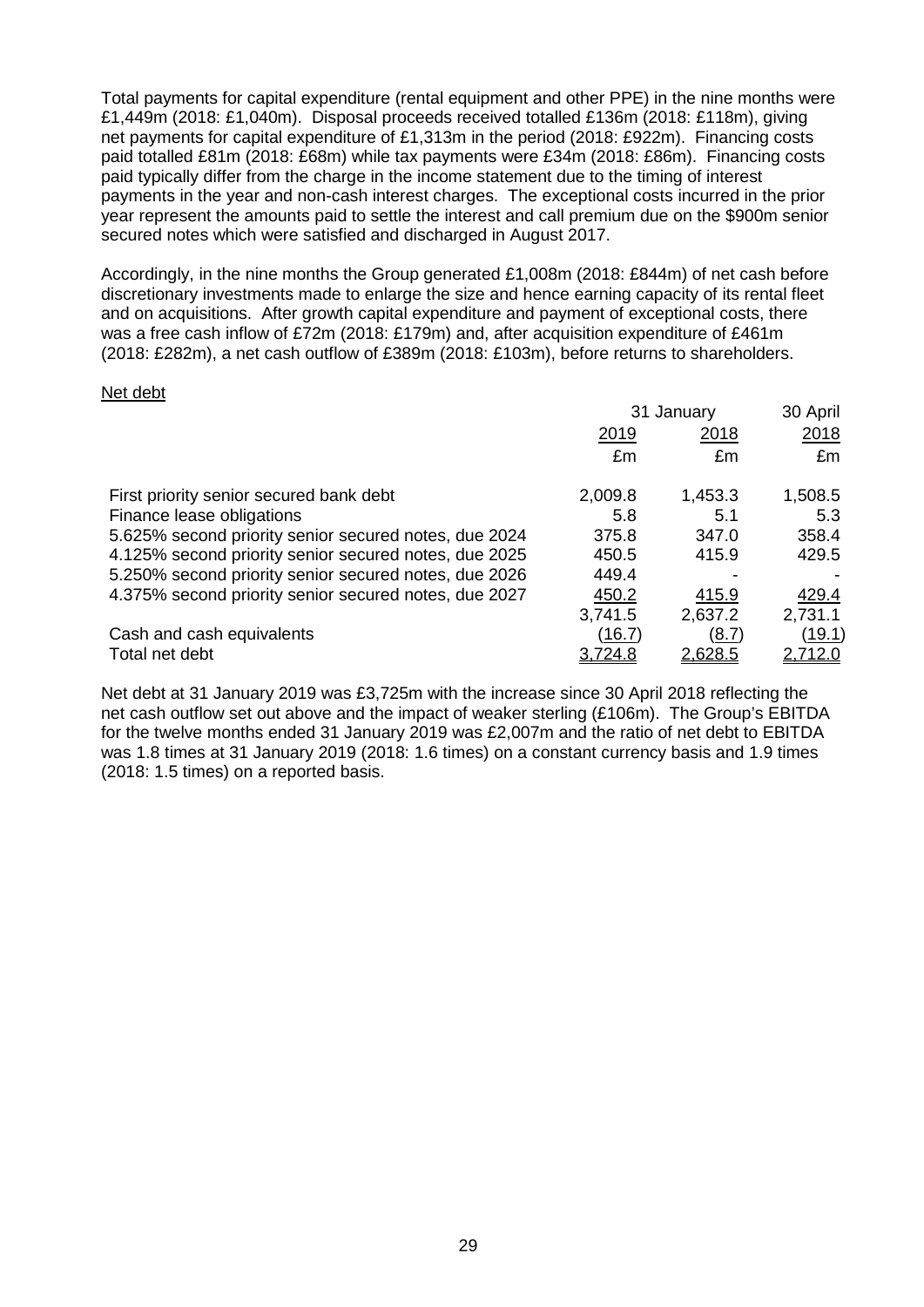Total payments for capital expenditure (rental equipment and other PPE) in the nine months were £1,449m (2018: £1,040m). Disposal proceeds received totalled £136m (2018: £118m), giving net payments for capital expenditure of £1,313m in the period (2018: £922m). Financing costs paid totalled £81m (2018: £68m) while tax payments were £34m (2018: £86m). Financing costs paid typically differ from the charge in the income statement due to the timing of interest payments in the year and non-cash interest charges. The exceptional costs incurred in the prior year represent the amounts paid to settle the interest and call premium due on the \$900m senior secured notes which were satisfied and discharged in August 2017.

Accordingly, in the nine months the Group generated £1,008m (2018: £844m) of net cash before discretionary investments made to enlarge the size and hence earning capacity of its rental fleet and on acquisitions. After growth capital expenditure and payment of exceptional costs, there was a free cash inflow of £72m (2018: £179m) and, after acquisition expenditure of £461m (2018: £282m), a net cash outflow of £389m (2018: £103m), before returns to shareholders.

#### Net debt

|                                                       | 31 January |                | 30 April       |
|-------------------------------------------------------|------------|----------------|----------------|
|                                                       | 2019       | 2018           | 2018           |
|                                                       | £m         | £m             | £m             |
| First priority senior secured bank debt               | 2,009.8    | 1,453.3        | 1,508.5        |
| Finance lease obligations                             | 5.8        | 5.1            | 5.3            |
| 5.625% second priority senior secured notes, due 2024 | 375.8      | 347.0          | 358.4          |
| 4.125% second priority senior secured notes, due 2025 | 450.5      | 415.9          | 429.5          |
| 5.250% second priority senior secured notes, due 2026 | 449.4      |                |                |
| 4.375% second priority senior secured notes, due 2027 | 450.2      | 415.9          | 429.4          |
|                                                       | 3,741.5    | 2,637.2        | 2,731.1        |
| Cash and cash equivalents                             | (16.7)     | (8.7)          | (19.1)         |
| Total net debt                                        | 3,724.8    | <u>2,628.5</u> | <u>2,712.0</u> |

Net debt at 31 January 2019 was £3,725m with the increase since 30 April 2018 reflecting the net cash outflow set out above and the impact of weaker sterling (£106m). The Group's EBITDA for the twelve months ended 31 January 2019 was £2,007m and the ratio of net debt to EBITDA was 1.8 times at 31 January 2019 (2018: 1.6 times) on a constant currency basis and 1.9 times (2018: 1.5 times) on a reported basis.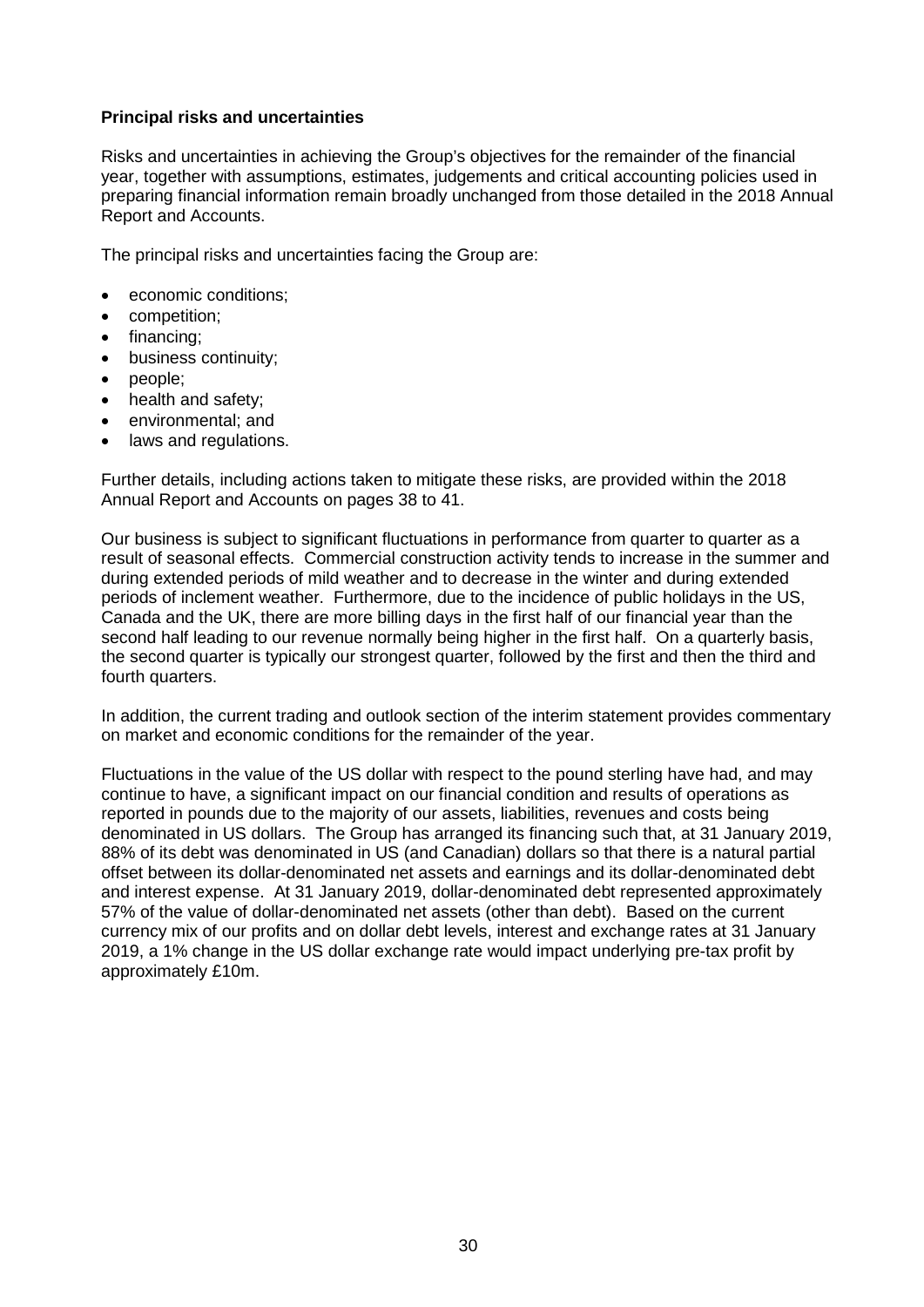### **Principal risks and uncertainties**

Risks and uncertainties in achieving the Group's objectives for the remainder of the financial year, together with assumptions, estimates, judgements and critical accounting policies used in preparing financial information remain broadly unchanged from those detailed in the 2018 Annual Report and Accounts.

The principal risks and uncertainties facing the Group are:

- economic conditions;
- competition;
- financing;
- business continuity;
- people;
- health and safety;
- environmental; and
- laws and regulations.

Further details, including actions taken to mitigate these risks, are provided within the 2018 Annual Report and Accounts on pages 38 to 41.

Our business is subject to significant fluctuations in performance from quarter to quarter as a result of seasonal effects. Commercial construction activity tends to increase in the summer and during extended periods of mild weather and to decrease in the winter and during extended periods of inclement weather. Furthermore, due to the incidence of public holidays in the US, Canada and the UK, there are more billing days in the first half of our financial year than the second half leading to our revenue normally being higher in the first half. On a quarterly basis, the second quarter is typically our strongest quarter, followed by the first and then the third and fourth quarters.

In addition, the current trading and outlook section of the interim statement provides commentary on market and economic conditions for the remainder of the year.

Fluctuations in the value of the US dollar with respect to the pound sterling have had, and may continue to have, a significant impact on our financial condition and results of operations as reported in pounds due to the majority of our assets, liabilities, revenues and costs being denominated in US dollars. The Group has arranged its financing such that, at 31 January 2019, 88% of its debt was denominated in US (and Canadian) dollars so that there is a natural partial offset between its dollar-denominated net assets and earnings and its dollar-denominated debt and interest expense. At 31 January 2019, dollar-denominated debt represented approximately 57% of the value of dollar-denominated net assets (other than debt). Based on the current currency mix of our profits and on dollar debt levels, interest and exchange rates at 31 January 2019, a 1% change in the US dollar exchange rate would impact underlying pre-tax profit by approximately £10m.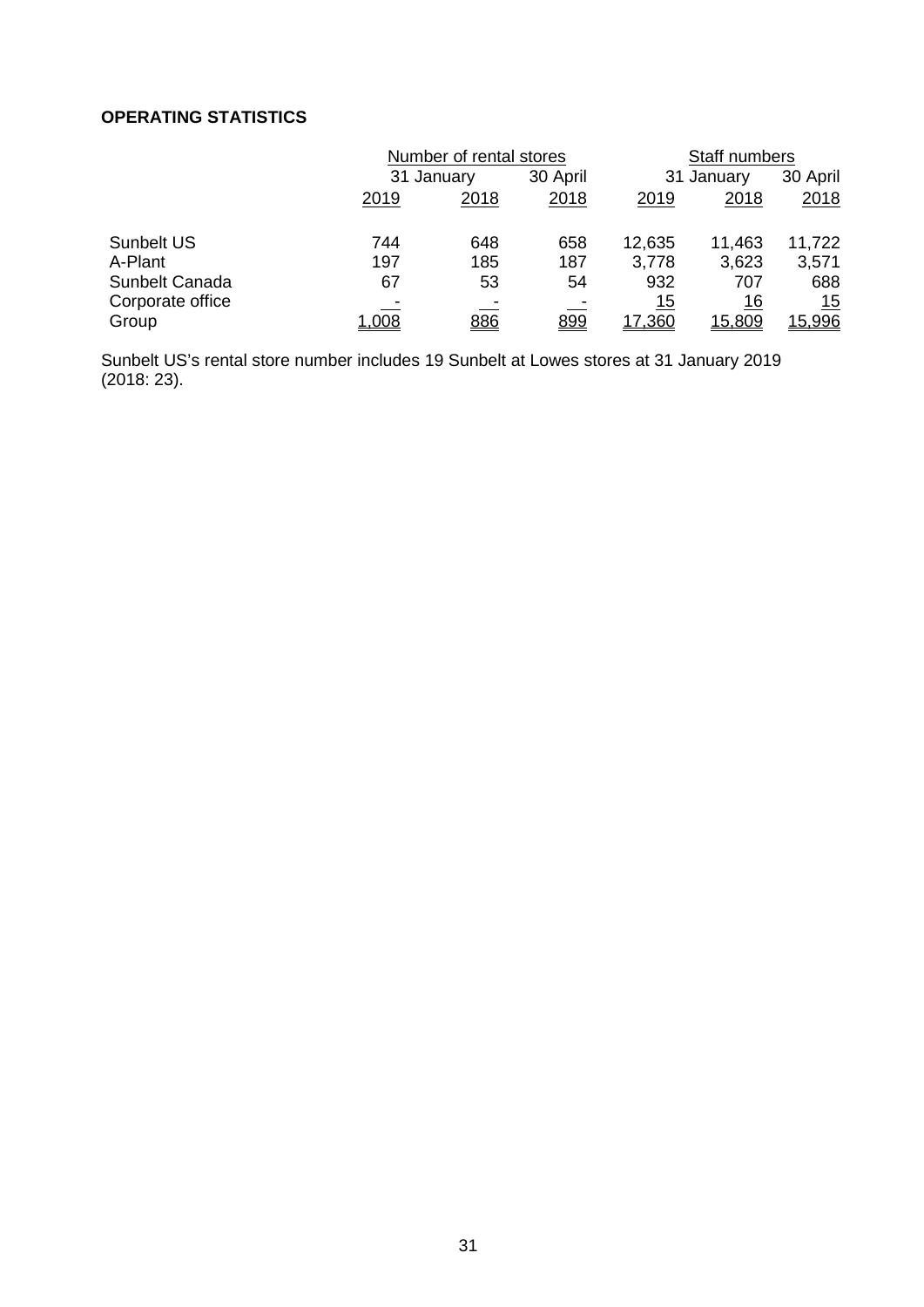# **OPERATING STATISTICS**

|                  | Number of rental stores |      |          | Staff numbers |            |            |
|------------------|-------------------------|------|----------|---------------|------------|------------|
|                  | 31 January              |      | 30 April |               | 31 January |            |
|                  | 2019                    | 2018 | 2018     | 2019          | 2018       | 2018       |
| Sunbelt US       | 744                     | 648  | 658      | 12,635        | 11,463     | 11,722     |
| A-Plant          | 197                     | 185  | 187      | 3,778         | 3,623      | 3,571      |
| Sunbelt Canada   | 67                      | 53   | 54       | 932           | 707        | 688        |
| Corporate office |                         |      |          | 15            | 16         | <u> 15</u> |
| Group            | 1,008                   | 886  | 899      | 17,360        | 15,809     | 15,996     |

Sunbelt US's rental store number includes 19 Sunbelt at Lowes stores at 31 January 2019 (2018: 23).